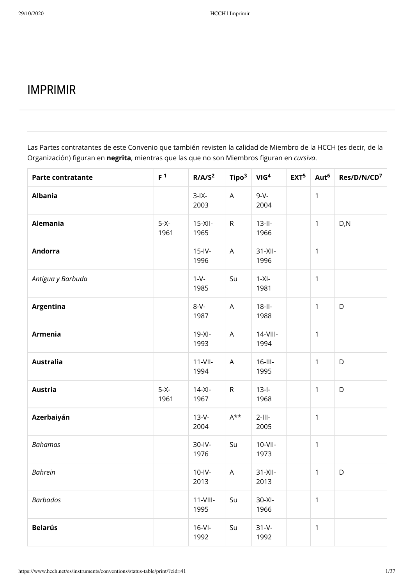# IMPRIMIR

Las Partes contratantes de este Convenio que también revisten la calidad de Miembro de la HCCH (es decir, de la Organización) figuran en *negrita*, mientras que las que no son Miembros figuran en *cursiva*.

| <b>Parte contratante</b> | F <sup>1</sup> | R/ A/S <sup>2</sup> | Tipo <sup>3</sup> | VIG <sup>4</sup>    | EXT <sup>5</sup> | Aut <sup>6</sup> | Res/D/N/CD <sup>7</sup> |
|--------------------------|----------------|---------------------|-------------------|---------------------|------------------|------------------|-------------------------|
| <b>Albania</b>           |                | $3$ -IX-<br>2003    | A                 | $9-V -$<br>2004     |                  | $\mathbf{1}$     |                         |
| Alemania                 | $5-X-$<br>1961 | $15-XII -$<br>1965  | $\mathsf R$       | $13$ -II-<br>1966   |                  | $\mathbf{1}$     | D, N                    |
| <b>Andorra</b>           |                | $15$ -IV-<br>1996   | $\mathsf{A}$      | $31-XII -$<br>1996  |                  | $\mathbf{1}$     |                         |
| Antigua y Barbuda        |                | $1-V-$<br>1985      | Su                | $1-XI-$<br>1981     |                  | $\mathbf{1}$     |                         |
| Argentina                |                | $8-V -$<br>1987     | $\mathsf{A}$      | $18$ -II-<br>1988   |                  | $\mathbf{1}$     | D                       |
| <b>Armenia</b>           |                | $19-XI -$<br>1993   | $\mathsf{A}$      | $14-VIII -$<br>1994 |                  | $\mathbf{1}$     |                         |
| <b>Australia</b>         |                | $11-VII$<br>1994    | $\mathsf{A}$      | $16$ -III-<br>1995  |                  | $\mathbf{1}$     | D                       |
| <b>Austria</b>           | $5-X-$<br>1961 | $14-XI -$<br>1967   | $\mathsf R$       | $13 - 1 -$<br>1968  |                  | $\mathbf{1}$     | D                       |
| Azerbaiyán               |                | $13-V -$<br>2004    | $A^{\star\star}$  | $2$ -III-<br>2005   |                  | $\mathbf{1}$     |                         |
| <b>Bahamas</b>           |                | $30$ -IV-<br>1976   | Su                | $10-VII-$<br>1973   |                  | $\mathbf{1}$     |                         |
| <b>Bahrein</b>           |                | $10$ -IV-<br>2013   | $\mathsf{A}$      | $31-X$ II-<br>2013  |                  | $\mathbf{1}$     | D                       |
| <b>Barbados</b>          |                | $11-VIII -$<br>1995 | Su                | $30-XI -$<br>1966   |                  | $\mathbf{1}$     |                         |
| <b>Belarús</b>           |                | $16-Vl-$<br>1992    | Su                | $31 - V -$<br>1992  |                  | $\mathbf{1}$     |                         |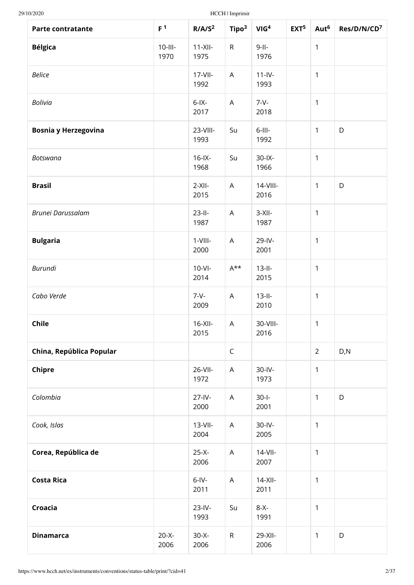| <b>Parte contratante</b>    | F <sup>1</sup>     | R/ A/S <sup>2</sup> | Tipo <sup>3</sup>         | VIG <sup>4</sup>   | EXT <sup>5</sup> | Aut <sup>6</sup> | Res/D/N/CD <sup>7</sup> |
|-----------------------------|--------------------|---------------------|---------------------------|--------------------|------------------|------------------|-------------------------|
| <b>Bélgica</b>              | $10$ -III-<br>1970 | $11-XII$<br>1975    | $\mathsf{R}$              | $9 - 11 -$<br>1976 |                  | $\mathbf{1}$     |                         |
| <b>Belice</b>               |                    | $17 - 11$<br>1992   | $\mathsf A$               | $11-IV -$<br>1993  |                  | 1                |                         |
| <b>Bolivia</b>              |                    | $6$ -IX-<br>2017    | $\mathsf{A}$              | $7 - V -$<br>2018  |                  | 1                |                         |
| <b>Bosnia y Herzegovina</b> |                    | 23-VIII-<br>1993    | Su                        | $6$ -III-<br>1992  |                  | $\mathbf{1}$     | D                       |
| <b>Botswana</b>             |                    | $16$ -IX-<br>1968   | Su                        | $30$ -IX-<br>1966  |                  | 1                |                         |
| <b>Brasil</b>               |                    | $2-XII-$<br>2015    | $\mathsf A$               | 14-VIII-<br>2016   |                  | $\mathbf{1}$     | D                       |
| Brunei Darussalam           |                    | $23$ -II-<br>1987   | $\mathsf A$               | $3-XII-$<br>1987   |                  | $\mathbf{1}$     |                         |
| <b>Bulgaria</b>             |                    | $1-VIII -$<br>2000  | $\boldsymbol{\mathsf{A}}$ | 29-IV-<br>2001     |                  | $\mathbf{1}$     |                         |
| <b>Burundi</b>              |                    | $10-Vl$ -<br>2014   | $A^{\star\star}$          | $13-II-$<br>2015   |                  | $\mathbf{1}$     |                         |
| Cabo Verde                  |                    | $7 - V -$<br>2009   | $\boldsymbol{\mathsf{A}}$ | $13-H -$<br>2010   |                  | 1                |                         |
| Chile                       |                    | $16-XII -$<br>2015  | A                         | 30-VIII-<br>2016   |                  | $\mathbf{1}$     |                         |
| China, República Popular    |                    |                     | $\mathsf C$               |                    |                  | $\overline{2}$   | D, N                    |
| Chipre                      |                    | 26-VII-<br>1972     | A                         | 30-IV-<br>1973     |                  | $\mathbf{1}$     |                         |
| Colombia                    |                    | $27 - IV -$<br>2000 | $\boldsymbol{\mathsf{A}}$ | $30 - 1 -$<br>2001 |                  | $\mathbf{1}$     | D                       |
| Cook, Islas                 |                    | $13-VII-$<br>2004   | A                         | 30-IV-<br>2005     |                  | 1                |                         |
| Corea, República de         |                    | $25-X -$<br>2006    | $\mathsf A$               | $14$ -VII-<br>2007 |                  | 1                |                         |
| <b>Costa Rica</b>           |                    | $6$ -IV-<br>2011    | A                         | $14-XII -$<br>2011 |                  | $\mathbf{1}$     |                         |
| Croacia                     |                    | $23$ -IV-<br>1993   | Su                        | $8-X$<br>1991      |                  | 1                |                         |
| <b>Dinamarca</b>            | $20-X -$<br>2006   | $30 - X -$<br>2006  | ${\sf R}$                 | 29-XII-<br>2006    |                  | 1                | D                       |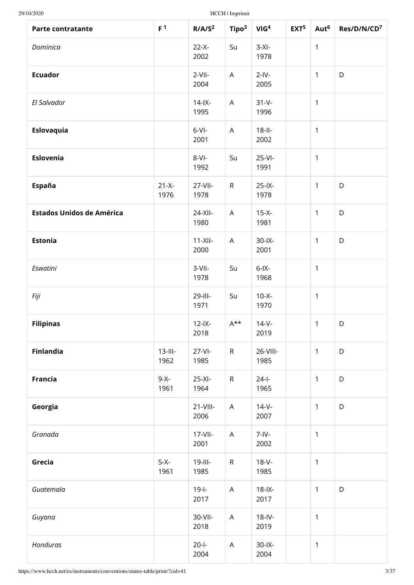| <b>Parte contratante</b>         | F <sup>1</sup>     | R/ A/S <sup>2</sup> | Tipo <sup>3</sup>         | VIG <sup>4</sup>   | EXT <sup>5</sup> | Aut <sup>6</sup> | Res/D/N/CD <sup>7</sup> |
|----------------------------------|--------------------|---------------------|---------------------------|--------------------|------------------|------------------|-------------------------|
| Dominica                         |                    | $22-X -$<br>2002    | Su                        | $3-XI-$<br>1978    |                  | $\mathbf{1}$     |                         |
| <b>Ecuador</b>                   |                    | $2-VII-$<br>2004    | A                         | $2$ -IV-<br>2005   |                  | $\mathbf{1}$     | D                       |
| El Salvador                      |                    | $14$ -IX-<br>1995   | $\mathsf{A}$              | $31 - V -$<br>1996 |                  | $\mathbf{1}$     |                         |
| Eslovaquia                       |                    | $6-Vl -$<br>2001    | $\boldsymbol{\mathsf{A}}$ | $18$ -II-<br>2002  |                  | $\mathbf{1}$     |                         |
| Eslovenia                        |                    | $8-VI-$<br>1992     | Su                        | $25-VI$ -<br>1991  |                  | $\mathbf{1}$     |                         |
| España                           | $21-X -$<br>1976   | 27-VII-<br>1978     | ${\sf R}$                 | $25$ -IX-<br>1978  |                  | $\mathbf{1}$     | D                       |
| <b>Estados Unidos de América</b> |                    | 24-XII-<br>1980     | $\mathsf{A}$              | $15-X$ -<br>1981   |                  | $\mathbf{1}$     | D                       |
| <b>Estonia</b>                   |                    | $11-XII-$<br>2000   | $\mathsf{A}$              | $30$ -IX-<br>2001  |                  | $\mathbf{1}$     | D                       |
| Eswatini                         |                    | $3-VII-$<br>1978    | Su                        | $6$ -IX-<br>1968   |                  | $\mathbf{1}$     |                         |
| Fiji                             |                    | 29-III-<br>1971     | Su                        | $10-X -$<br>1970   |                  | $\mathbf{1}$     |                         |
| <b>Filipinas</b>                 |                    | $12$ -IX-<br>2018   | $A^{\star\star}$          | $14-V -$<br>2019   |                  | $\mathbf{1}$     | D                       |
| <b>Finlandia</b>                 | $13$ -III-<br>1962 | $27-Vl$ -<br>1985   | $\mathsf R$               | 26-VIII-<br>1985   |                  | $\mathbf{1}$     | D                       |
| <b>Francia</b>                   | $9-X-$<br>1961     | $25-XI -$<br>1964   | ${\sf R}$                 | $24 - 1 -$<br>1965 |                  | $\mathbf{1}$     | D                       |
| Georgia                          |                    | $21-VIII -$<br>2006 | $\mathsf{A}$              | $14-V -$<br>2007   |                  | $\mathbf{1}$     | D                       |
| Granada                          |                    | $17 - 11$<br>2001   | $\mathsf{A}$              | $7 - IV -$<br>2002 |                  | $\mathbf{1}$     |                         |
| Grecia                           | $5-X-$<br>1961     | $19$ -III-<br>1985  | ${\sf R}$                 | $18-V -$<br>1985   |                  | $\mathbf{1}$     |                         |
| Guatemala                        |                    | $19 - 1 -$<br>2017  | $\mathsf{A}$              | $18$ -IX-<br>2017  |                  | $\mathbf{1}$     | D                       |
| Guyana                           |                    | 30-VII-<br>2018     | $\mathsf{A}$              | $18$ -IV-<br>2019  |                  | $\mathbf{1}$     |                         |
| Honduras                         |                    | $20 - 1 -$<br>2004  | $\mathsf A$               | $30$ -IX-<br>2004  |                  | $\mathbf{1}$     |                         |

https://www.hcch.net/es/instruments/conventions/status-table/print/?cid=41 3/37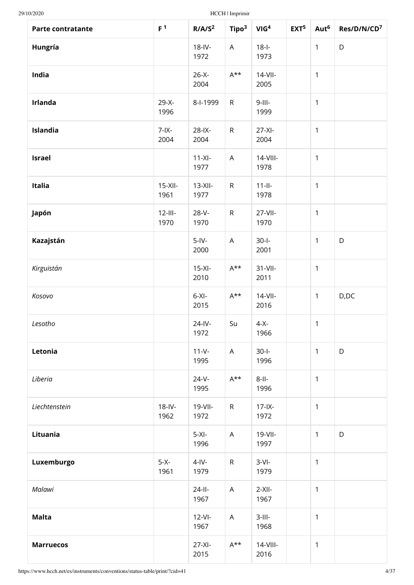| Parte contratante | F <sup>1</sup>     | R/ A/S <sup>2</sup> | Tipo <sup>3</sup> | VIG <sup>4</sup>    | EXT <sup>5</sup> | Aut <sup>6</sup> | Res/D/N/CD <sup>7</sup> |
|-------------------|--------------------|---------------------|-------------------|---------------------|------------------|------------------|-------------------------|
| Hungría           |                    | $18$ -IV-<br>1972   | A                 | $18 - 1 -$<br>1973  |                  | $\mathbf{1}$     | D                       |
| India             |                    | $26-X -$<br>2004    | $A^{\star\star}$  | $14-VII$<br>2005    |                  | $\mathbf{1}$     |                         |
| Irlanda           | $29-X -$<br>1996   | 8-I-1999            | ${\sf R}$         | $9$ -III-<br>1999   |                  | $\mathbf{1}$     |                         |
| Islandia          | $7 - IX -$<br>2004 | $28$ -IX-<br>2004   | $\mathsf R$       | $27-XI -$<br>2004   |                  | $\mathbf{1}$     |                         |
| <b>Israel</b>     |                    | $11-XI$ -<br>1977   | A                 | $14-VIII -$<br>1978 |                  | $\mathbf{1}$     |                         |
| Italia            | $15-XII-$<br>1961  | $13-XII-$<br>1977   | $\mathsf R$       | $11 - 11 -$<br>1978 |                  | $\mathbf{1}$     |                         |
| Japón             | $12$ -III-<br>1970 | $28-V -$<br>1970    | ${\sf R}$         | 27-VII-<br>1970     |                  | $\mathbf{1}$     |                         |
| Kazajstán         |                    | $5$ -IV-<br>2000    | A                 | $30-I$<br>2001      |                  | $\mathbf{1}$     | D                       |
| Kirguistán        |                    | $15-XI -$<br>2010   | $A^{\star\star}$  | $31-VII-$<br>2011   |                  | $\mathbf{1}$     |                         |
| Kosovo            |                    | $6-XI -$<br>2015    | $A^{\star\star}$  | $14$ -VII-<br>2016  |                  | $\mathbf{1}$     | D,DC                    |
| Lesotho           |                    | $24$ -IV-<br>1972   | Su                | $4-X$<br>1966       |                  | $\mathbf{1}$     |                         |
| Letonia           |                    | $11 - V -$<br>1995  | $\mathsf{A}$      | $30-I$<br>1996      |                  | $\mathbf{1}$     | D                       |
| Liberia           |                    | $24-V -$<br>1995    | $A^{\star\star}$  | $8$ -II-<br>1996    |                  | $\mathbf{1}$     |                         |
| Liechtenstein     | $18$ -IV-<br>1962  | 19-VII-<br>1972     | $\mathsf{R}$      | $17 - 1X -$<br>1972 |                  | $\mathbf{1}$     |                         |
| Lituania          |                    | $5-XI-$<br>1996     | A                 | 19-VII-<br>1997     |                  | $\mathbf{1}$     | D                       |
| Luxemburgo        | $5-X-$<br>1961     | $4$ -IV-<br>1979    | $\mathsf{R}$      | $3-Vl-$<br>1979     |                  | $\mathbf{1}$     |                         |
| Malawi            |                    | $24$ -II-<br>1967   | $\mathsf{A}$      | $2-XII-$<br>1967    |                  | $\mathbf{1}$     |                         |
| <b>Malta</b>      |                    | $12-Vl$ -<br>1967   | A                 | $3$ -III-<br>1968   |                  | $\mathbf{1}$     |                         |
| <b>Marruecos</b>  |                    | $27-XI$<br>2015     | $A^{\star\star}$  | $14$ -VIII-<br>2016 |                  | $\mathbf{1}$     |                         |

https://www.hcch.net/es/instruments/conventions/status-table/print/?cid=41 4/37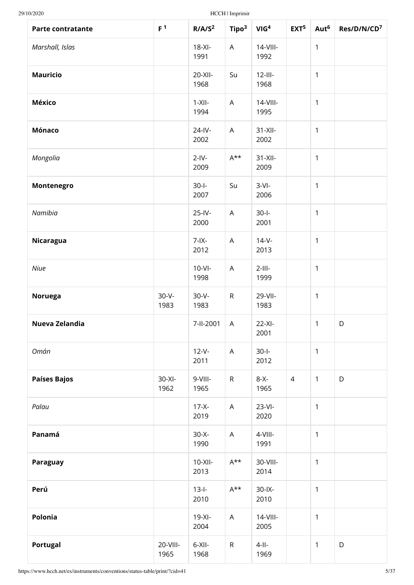| Parte contratante   | F <sup>1</sup>     | R/ A/S <sup>2</sup> | Tipo <sup>3</sup>         | VIG <sup>4</sup>    | EXT <sup>5</sup> | Aut <sup>6</sup> | Res/D/N/CD <sup>7</sup> |
|---------------------|--------------------|---------------------|---------------------------|---------------------|------------------|------------------|-------------------------|
| Marshall, Islas     |                    | $18-XI -$<br>1991   | A                         | $14$ -VIII-<br>1992 |                  | $\mathbf{1}$     |                         |
| <b>Mauricio</b>     |                    | 20-XII-<br>1968     | Su                        | $12$ -III-<br>1968  |                  | $\mathbf{1}$     |                         |
| <b>México</b>       |                    | $1-XII-$<br>1994    | A                         | 14-VIII-<br>1995    |                  | $\mathbf{1}$     |                         |
| Mónaco              |                    | 24-IV-<br>2002      | $\mathsf{A}$              | $31-XII$<br>2002    |                  | $\mathbf{1}$     |                         |
| Mongolia            |                    | $2$ -IV-<br>2009    | $A^{\star\star}$          | $31-XII -$<br>2009  |                  | $\mathbf{1}$     |                         |
| Montenegro          |                    | $30 - 1 -$<br>2007  | Su                        | $3-Vl-$<br>2006     |                  | $\mathbf{1}$     |                         |
| Namibia             |                    | 25-IV-<br>2000      | A                         | $30 - 1 -$<br>2001  |                  | $\mathbf{1}$     |                         |
| Nicaragua           |                    | $7 - IX -$<br>2012  | A                         | $14-V -$<br>2013    |                  | $\mathbf{1}$     |                         |
| Niue                |                    | $10-Vl$ -<br>1998   | $\boldsymbol{\mathsf{A}}$ | $2$ -III-<br>1999   |                  | $\mathbf{1}$     |                         |
| Noruega             | $30 - V -$<br>1983 | $30 - V -$<br>1983  | $\mathsf R$               | 29-VII-<br>1983     |                  | $\mathbf{1}$     |                         |
| Nueva Zelandia      |                    | 7-II-2001           | A                         | $22-XI-$<br>2001    |                  | $\mathbf{1}$     | D                       |
| Omán                |                    | $12-V -$<br>2011    | $\mathsf{A}$              | $30-I$<br>2012      |                  | $\mathbf{1}$     |                         |
| <b>Países Bajos</b> | $30-XI -$<br>1962  | 9-VIII-<br>1965     | $\mathsf R$               | $8-X$ -<br>1965     | $\overline{4}$   | $\mathbf{1}$     | D                       |
| Palau               |                    | $17-X -$<br>2019    | A                         | $23-VI-$<br>2020    |                  | $\mathbf{1}$     |                         |
| Panamá              |                    | $30-X-$<br>1990     | A                         | 4-VIII-<br>1991     |                  | 1                |                         |
| Paraguay            |                    | $10-XII -$<br>2013  | $A^{\star\star}$          | 30-VIII-<br>2014    |                  | $\mathbf{1}$     |                         |
| Perú                |                    | $13-I-$<br>2010     | $A^{\star\star}$          | $30 - 1X -$<br>2010 |                  | $\mathbf{1}$     |                         |
| Polonia             |                    | $19-XI -$<br>2004   | A                         | $14$ -VIII-<br>2005 |                  | $\mathbf{1}$     |                         |
| <b>Portugal</b>     | 20-VIII-<br>1965   | $6-XII -$<br>1968   | $\mathsf R$               | $4 - 11 -$<br>1969  |                  | $\mathbf{1}$     | D                       |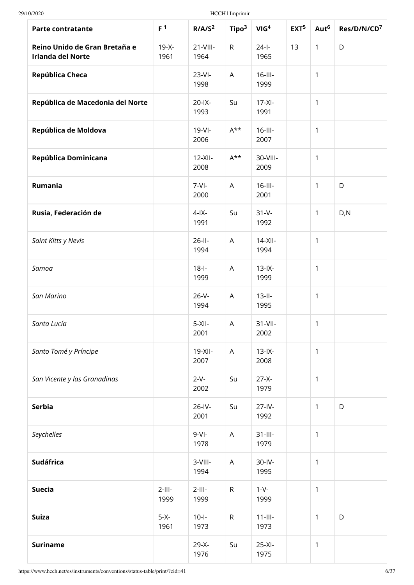| <b>Parte contratante</b>                                  | F <sup>1</sup>    | R/ A/S <sup>2</sup>   | Tipo <sup>3</sup>         | VIG <sup>4</sup>    | EXT <sup>5</sup> | Aut <sup>6</sup> | Res/D/N/CD <sup>7</sup> |
|-----------------------------------------------------------|-------------------|-----------------------|---------------------------|---------------------|------------------|------------------|-------------------------|
| Reino Unido de Gran Bretaña e<br><b>Irlanda del Norte</b> | $19-X -$<br>1961  | $21 - VIII -$<br>1964 | ${\sf R}$                 | $24 - 1 -$<br>1965  | 13               | $\mathbf{1}$     | D                       |
| República Checa                                           |                   | $23-Vl$ -<br>1998     | A                         | $16$ -III-<br>1999  |                  | 1                |                         |
| República de Macedonia del Norte                          |                   | $20$ -IX-<br>1993     | Su                        | $17-XI -$<br>1991   |                  | 1                |                         |
| República de Moldova                                      |                   | $19-Vl -$<br>2006     | $A^{\star\star}$          | $16$ -III-<br>2007  |                  | 1                |                         |
| República Dominicana                                      |                   | $12-XII$<br>2008      | $A^{\star\star}$          | 30-VIII-<br>2009    |                  | 1                |                         |
| Rumania                                                   |                   | $7-Vl$<br>2000        | $\overline{\mathsf{A}}$   | $16$ -III-<br>2001  |                  | 1                | D                       |
| Rusia, Federación de                                      |                   | $4$ -IX-<br>1991      | Su                        | $31 - V -$<br>1992  |                  | $\mathbf{1}$     | D, N                    |
| Saint Kitts y Nevis                                       |                   | $26$ -II-<br>1994     | A                         | $14-XII -$<br>1994  |                  | 1                |                         |
| Samoa                                                     |                   | $18 - 1 -$<br>1999    | $\boldsymbol{\mathsf{A}}$ | $13$ -IX-<br>1999   |                  | $\mathbf{1}$     |                         |
| San Marino                                                |                   | $26-V -$<br>1994      | $\boldsymbol{\mathsf{A}}$ | $13-II-$<br>1995    |                  | 1                |                         |
| Santa Lucía                                               |                   | $5-XII-$<br>2001      | Α                         | $31-VII-$<br>2002   |                  | 1                |                         |
| Santo Tomé y Príncipe                                     |                   | $19-XII -$<br>2007    | A                         | $13$ -IX-<br>2008   |                  | $\mathbf{1}$     |                         |
| San Vicente y las Granadinas                              |                   | $2-V -$<br>2002       | Su                        | $27-X -$<br>1979    |                  | 1                |                         |
| <b>Serbia</b>                                             |                   | $26$ -IV-<br>2001     | Su                        | $27 - IV -$<br>1992 |                  | $\mathbf{1}$     | D                       |
| Seychelles                                                |                   | $9-Vl$ -<br>1978      | $\mathsf A$               | $31$ -III-<br>1979  |                  | 1                |                         |
| <b>Sudáfrica</b>                                          |                   | 3-VIII-<br>1994       | A                         | $30$ -IV-<br>1995   |                  | 1                |                         |
| <b>Suecia</b>                                             | $2$ -III-<br>1999 | $2$ -III-<br>1999     | ${\sf R}$                 | $1-V$ -<br>1999     |                  | $\mathbf{1}$     |                         |
| <b>Suiza</b>                                              | $5-X-$<br>1961    | $10-I -$<br>1973      | ${\sf R}$                 | $11$ -III-<br>1973  |                  | 1                | D                       |
| <b>Suriname</b>                                           |                   | $29-X -$<br>1976      | Su                        | $25-XI -$<br>1975   |                  | 1                |                         |

https://www.hcch.net/es/instruments/conventions/status-table/print/?cid=41 6/37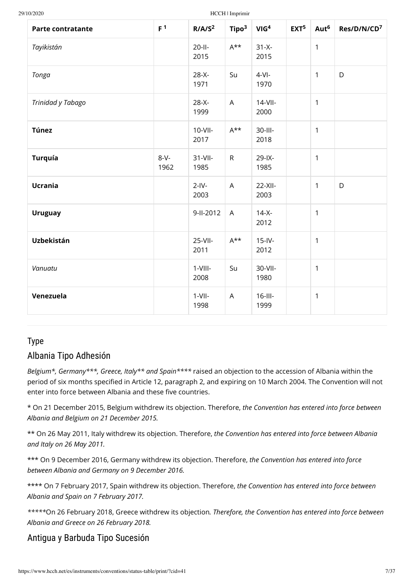| <b>Parte contratante</b> | F <sup>1</sup>  | R/ A/S <sup>2</sup>  | Tipo <sup>3</sup>         | VIG <sup>4</sup>   | EXT <sup>5</sup> | Aut <sup>6</sup> | Res/D/N/CD <sup>7</sup> |
|--------------------------|-----------------|----------------------|---------------------------|--------------------|------------------|------------------|-------------------------|
| Tayikistán               |                 | $20-II-$<br>2015     | $A^{\star\star}$          | $31-X -$<br>2015   |                  | $\mathbf{1}$     |                         |
| Tonga                    |                 | $28-X -$<br>1971     | Su                        | $4-Vl-$<br>1970    |                  | $\mathbf{1}$     | D                       |
| Trinidad y Tabago        |                 | $28-X -$<br>1999     | $\mathsf{A}$              | $14-VII$<br>2000   |                  | $\mathbf{1}$     |                         |
| <b>Túnez</b>             |                 | $10-VII-$<br>2017    | $A^{\star\star}$          | 30-III-<br>2018    |                  | $\mathbf{1}$     |                         |
| <b>Turquía</b>           | $8-V -$<br>1962 | $31 - VII -$<br>1985 | $\mathsf{R}$              | $29$ -IX-<br>1985  |                  | $\mathbf{1}$     |                         |
| <b>Ucrania</b>           |                 | $2-IV-$<br>2003      | $\boldsymbol{\mathsf{A}}$ | $22-XII-$<br>2003  |                  | $\mathbf{1}$     | D                       |
| <b>Uruguay</b>           |                 | 9-II-2012            | $\mathsf{A}$              | $14-X -$<br>2012   |                  | $\mathbf{1}$     |                         |
| Uzbekistán               |                 | $25-VII-$<br>2011    | $A^{\star\star}$          | $15$ -IV-<br>2012  |                  | $\mathbf{1}$     |                         |
| Vanuatu                  |                 | $1-VIII -$<br>2008   | Su                        | 30-VII-<br>1980    |                  | $\mathbf{1}$     |                         |
| Venezuela                |                 | $1-VII-$<br>1998     | $\overline{A}$            | $16$ -III-<br>1999 |                  | $\mathbf{1}$     |                         |

## Type

# Albania Tipo Adhesión

*Belgium\*, Germany\*\*\*, Greece, Italy\*\* and Spain\*\*\*\** raised an objection to the accession of Albania within the period of six months specified in Article 12, paragraph 2, and expiring on 10 March 2004. The Convention will not enter into force between Albania and these five countries.

\* On 21 December 2015, Belgium withdrew its objection. Therefore, *the Convention has entered into force between Albania and Belgium on 21 December 2015.*

\*\* On 26 May 2011, Italy withdrew its objection. Therefore, *the Convention has entered into force between Albania and Italy on 26 May 2011.*

\*\*\* On 9 December 2016, Germany withdrew its objection. Therefore, *the Convention has entered into force between Albania and Germany on 9 December 2016.*

\*\*\*\* On 7 February 2017, Spain withdrew its objection. Therefore, *the Convention has entered into force between Albania and Spain on 7 February 2017.*

*\*\*\*\*\**On 26 February 2018, Greece withdrew its objection*. Therefore, the Convention has entered into force between Albania and Greece on 26 February 2018.*

# Antigua y Barbuda Tipo Sucesión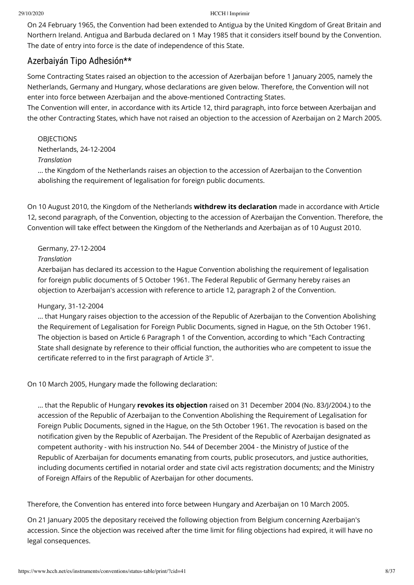On 24 February 1965, the Convention had been extended to Antigua by the United Kingdom of Great Britain and Northern Ireland. Antigua and Barbuda declared on 1 May 1985 that it considers itself bound by the Convention. The date of entry into force is the date of independence of this State.

# Azerbaiyán Tipo Adhesión\*\*

Some Contracting States raised an objection to the accession of Azerbaijan before 1 January 2005, namely the Netherlands, Germany and Hungary, whose declarations are given below. Therefore, the Convention will not enter into force between Azerbaijan and the above-mentioned Contracting States.

The Convention will enter, in accordance with its Article 12, third paragraph, into force between Azerbaijan and the other Contracting States, which have not raised an objection to the accession of Azerbaijan on 2 March 2005.

**OBJECTIONS** Netherlands, 24-12-2004 *Translation* ... the Kingdom of the Netherlands raises an objection to the accession of Azerbaijan to the Convention abolishing the requirement of legalisation for foreign public documents.

On 10 August 2010, the Kingdom of the Netherlands **withdrew its declaration** made in accordance with Article 12, second paragraph, of the Convention, objecting to the accession of Azerbaijan the Convention. Therefore, the Convention will take effect between the Kingdom of the Netherlands and Azerbaijan as of 10 August 2010.

## Germany, 27-12-2004

## *Translation*

Azerbaijan has declared its accession to the Hague Convention abolishing the requirement of legalisation for foreign public documents of 5 October 1961. The Federal Republic of Germany hereby raises an objection to Azerbaijan's accession with reference to article 12, paragraph 2 of the Convention.

## Hungary, 31-12-2004

... that Hungary raises objection to the accession of the Republic of Azerbaijan to the Convention Abolishing the Requirement of Legalisation for Foreign Public Documents, signed in Hague, on the 5th October 1961. The objection is based on Article 6 Paragraph 1 of the Convention, according to which "Each Contracting State shall designate by reference to their official function, the authorities who are competent to issue the certificate referred to in the first paragraph of Article 3".

On 10 March 2005, Hungary made the following declaration:

... that the Republic of Hungary **revokes its objection** raised on 31 December 2004 (No. 83/J/2004.) to the accession of the Republic of Azerbaijan to the Convention Abolishing the Requirement of Legalisation for Foreign Public Documents, signed in the Hague, on the 5th October 1961. The revocation is based on the notification given by the Republic of Azerbaijan. The President of the Republic of Azerbaijan designated as competent authority - with his instruction No. 544 of December 2004 - the Ministry of Justice of the Republic of Azerbaijan for documents emanating from courts, public prosecutors, and justice authorities, including documents certified in notarial order and state civil acts registration documents; and the Ministry of Foreign Affairs of the Republic of Azerbaijan for other documents.

Therefore, the Convention has entered into force between Hungary and Azerbaijan on 10 March 2005.

On 21 January 2005 the depositary received the following objection from Belgium concerning Azerbaijan's accession. Since the objection was received after the time limit for filing objections had expired, it will have no legal consequences.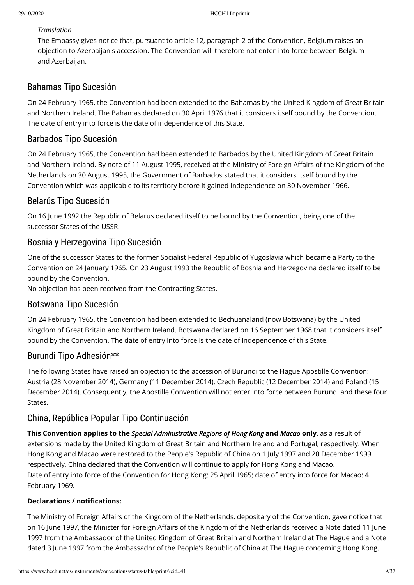### *Translation*

The Embassy gives notice that, pursuant to article 12, paragraph 2 of the Convention, Belgium raises an objection to Azerbaijan's accession. The Convention will therefore not enter into force between Belgium and Azerbaijan.

# Bahamas Tipo Sucesión

On 24 February 1965, the Convention had been extended to the Bahamas by the United Kingdom of Great Britain and Northern Ireland. The Bahamas declared on 30 April 1976 that it considers itself bound by the Convention. The date of entry into force is the date of independence of this State.

# Barbados Tipo Sucesión

On 24 February 1965, the Convention had been extended to Barbados by the United Kingdom of Great Britain and Northern Ireland. By note of 11 August 1995, received at the Ministry of Foreign Affairs of the Kingdom of the Netherlands on 30 August 1995, the Government of Barbados stated that it considers itself bound by the Convention which was applicable to its territory before it gained independence on 30 November 1966.

# Belarús Tipo Sucesión

On 16 June 1992 the Republic of Belarus declared itself to be bound by the Convention, being one of the successor States of the USSR.

# Bosnia y Herzegovina Tipo Sucesión

One of the successor States to the former Socialist Federal Republic of Yugoslavia which became a Party to the Convention on 24 January 1965. On 23 August 1993 the Republic of Bosnia and Herzegovina declared itself to be bound by the Convention.

No objection has been received from the Contracting States.

# Botswana Tipo Sucesión

On 24 February 1965, the Convention had been extended to Bechuanaland (now Botswana) by the United Kingdom of Great Britain and Northern Ireland. Botswana declared on 16 September 1968 that it considers itself bound by the Convention. The date of entry into force is the date of independence of this State.

# Burundi Tipo Adhesión\*\*

The following States have raised an objection to the accession of Burundi to the Hague Apostille Convention: Austria (28 November 2014), Germany (11 December 2014), Czech Republic (12 December 2014) and Poland (15 December 2014). Consequently, the Apostille Convention will not enter into force between Burundi and these four States.

# China, República Popular Tipo Continuación

**This Convention applies to the** *Special Administrative Regions of Hong Kong* **and** *Macao* **only**, as a result of extensions made by the United Kingdom of Great Britain and Northern Ireland and Portugal, respectively. When Hong Kong and Macao were restored to the People's Republic of China on 1 July 1997 and 20 December 1999, respectively, China declared that the Convention will continue to apply for Hong Kong and Macao. Date of entry into force of the Convention for Hong Kong: 25 April 1965; date of entry into force for Macao: 4 February 1969.

## **Declarations / notifications:**

The Ministry of Foreign Affairs of the Kingdom of the Netherlands, depositary of the Convention, gave notice that on 16 June 1997, the Minister for Foreign Affairs of the Kingdom of the Netherlands received a Note dated 11 June 1997 from the Ambassador of the United Kingdom of Great Britain and Northern Ireland at The Hague and a Note dated 3 June 1997 from the Ambassador of the People's Republic of China at The Hague concerning Hong Kong.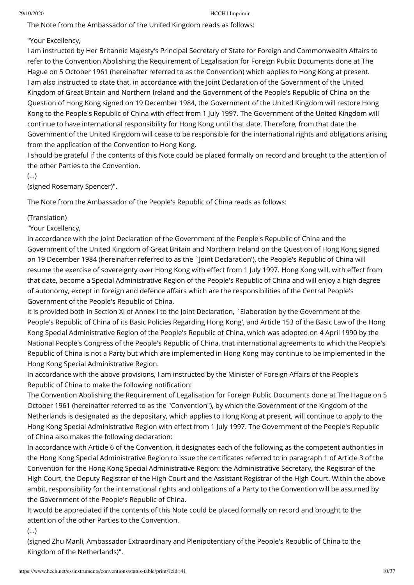The Note from the Ambassador of the United Kingdom reads as follows:

"Your Excellency,

I am instructed by Her Britannic Majesty's Principal Secretary of State for Foreign and Commonwealth Affairs to refer to the Convention Abolishing the Requirement of Legalisation for Foreign Public Documents done at The Hague on 5 October 1961 (hereinafter referred to as the Convention) which applies to Hong Kong at present. I am also instructed to state that, in accordance with the Joint Declaration of the Government of the United Kingdom of Great Britain and Northern Ireland and the Government of the People's Republic of China on the Question of Hong Kong signed on 19 December 1984, the Government of the United Kingdom will restore Hong Kong to the People's Republic of China with effect from 1 July 1997. The Government of the United Kingdom will continue to have international responsibility for Hong Kong until that date. Therefore, from that date the Government of the United Kingdom will cease to be responsible for the international rights and obligations arising from the application of the Convention to Hong Kong.

I should be grateful if the contents of this Note could be placed formally on record and brought to the attention of the other Parties to the Convention.

(...)

(signed Rosemary Spencer)".

The Note from the Ambassador of the People's Republic of China reads as follows:

(Translation)

"Your Excellency,

In accordance with the Joint Declaration of the Government of the People's Republic of China and the Government of the United Kingdom of Great Britain and Northern Ireland on the Question of Hong Kong signed on 19 December 1984 (hereinafter referred to as the `Joint Declaration'), the People's Republic of China will resume the exercise of sovereignty over Hong Kong with effect from 1 July 1997. Hong Kong will, with effect from that date, become a Special Administrative Region of the People's Republic of China and will enjoy a high degree of autonomy, except in foreign and defence affairs which are the responsibilities of the Central People's Government of the People's Republic of China.

It is provided both in Section XI of Annex I to the Joint Declaration, `Elaboration by the Government of the People's Republic of China of its Basic Policies Regarding Hong Kong', and Article 153 of the Basic Law of the Hong Kong Special Administrative Region of the People's Republic of China, which was adopted on 4 April 1990 by the National People's Congress of the People's Republic of China, that international agreements to which the People's Republic of China is not a Party but which are implemented in Hong Kong may continue to be implemented in the Hong Kong Special Administrative Region.

In accordance with the above provisions, I am instructed by the Minister of Foreign Affairs of the People's Republic of China to make the following notification:

The Convention Abolishing the Requirement of Legalisation for Foreign Public Documents done at The Hague on 5 October 1961 (hereinafter referred to as the "Convention"), by which the Government of the Kingdom of the Netherlands is designated as the depositary, which applies to Hong Kong at present, will continue to apply to the Hong Kong Special Administrative Region with effect from 1 July 1997. The Government of the People's Republic of China also makes the following declaration:

In accordance with Article 6 of the Convention, it designates each of the following as the competent authorities in the Hong Kong Special Administrative Region to issue the certificates referred to in paragraph 1 of Article 3 of the Convention for the Hong Kong Special Administrative Region: the Administrative Secretary, the Registrar of the High Court, the Deputy Registrar of the High Court and the Assistant Registrar of the High Court. Within the above ambit, responsibility for the international rights and obligations of a Party to the Convention will be assumed by the Government of the People's Republic of China.

It would be appreciated if the contents of this Note could be placed formally on record and brought to the attention of the other Parties to the Convention.

(...)

(signed Zhu Manli, Ambassador Extraordinary and Plenipotentiary of the People's Republic of China to the Kingdom of the Netherlands)".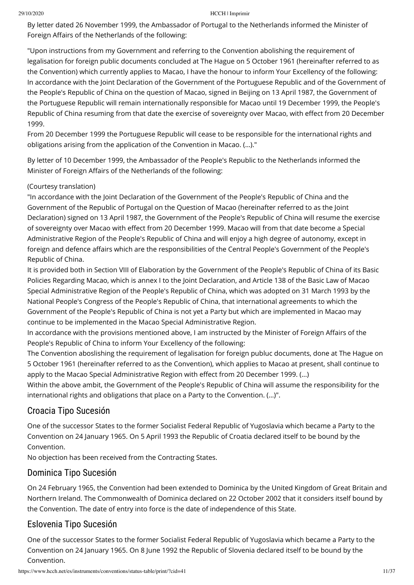By letter dated 26 November 1999, the Ambassador of Portugal to the Netherlands informed the Minister of Foreign Affairs of the Netherlands of the following:

"Upon instructions from my Government and referring to the Convention abolishing the requirement of legalisation for foreign public documents concluded at The Hague on 5 October 1961 (hereinafter referred to as the Convention) which currently applies to Macao, I have the honour to inform Your Excellency of the following: In accordance with the Joint Declaration of the Government of the Portuguese Republic and of the Government of the People's Republic of China on the question of Macao, signed in Beijing on 13 April 1987, the Government of the Portuguese Republic will remain internationally responsible for Macao until 19 December 1999, the People's Republic of China resuming from that date the exercise of sovereignty over Macao, with effect from 20 December 1999.

From 20 December 1999 the Portuguese Republic will cease to be responsible for the international rights and obligations arising from the application of the Convention in Macao. (…)."

By letter of 10 December 1999, the Ambassador of the People's Republic to the Netherlands informed the Minister of Foreign Affairs of the Netherlands of the following:

## (Courtesy translation)

"In accordance with the Joint Declaration of the Government of the People's Republic of China and the Government of the Republic of Portugal on the Question of Macao (hereinafter referred to as the Joint Declaration) signed on 13 April 1987, the Government of the People's Republic of China will resume the exercise of sovereignty over Macao with effect from 20 December 1999. Macao will from that date become a Special Administrative Region of the People's Republic of China and will enjoy a high degree of autonomy, except in foreign and defence affairs which are the responsibilities of the Central People's Government of the People's Republic of China.

It is provided both in Section VIII of Elaboration by the Government of the People's Republic of China of its Basic Policies Regarding Macao, which is annex I to the Joint Declaration, and Article 138 of the Basic Law of Macao Special Administrative Region of the People's Republic of China, which was adopted on 31 March 1993 by the National People's Congress of the People's Republic of China, that international agreements to which the Government of the People's Republic of China is not yet a Party but which are implemented in Macao may continue to be implemented in the Macao Special Administrative Region.

In accordance with the provisions mentioned above, I am instructed by the Minister of Foreign Affairs of the People's Republic of China to inform Your Excellency of the following:

The Convention aboslishing the requirement of legalisation for foreign publuc documents, done at The Hague on 5 October 1961 (hereinafter referred to as the Convention), which applies to Macao at present, shall continue to apply to the Macao Special Administrative Region with effect from 20 December 1999. (...)

Within the above ambit, the Government of the People's Republic of China will assume the responsibility for the international rights and obligations that place on a Party to the Convention. (…)".

# Croacia Tipo Sucesión

One of the successor States to the former Socialist Federal Republic of Yugoslavia which became a Party to the Convention on 24 January 1965. On 5 April 1993 the Republic of Croatia declared itself to be bound by the Convention.

No objection has been received from the Contracting States.

# Dominica Tipo Sucesión

On 24 February 1965, the Convention had been extended to Dominica by the United Kingdom of Great Britain and Northern Ireland. The Commonwealth of Dominica declared on 22 October 2002 that it considers itself bound by the Convention. The date of entry into force is the date of independence of this State.

# Eslovenia Tipo Sucesión

One of the successor States to the former Socialist Federal Republic of Yugoslavia which became a Party to the Convention on 24 January 1965. On 8 June 1992 the Republic of Slovenia declared itself to be bound by the Convention.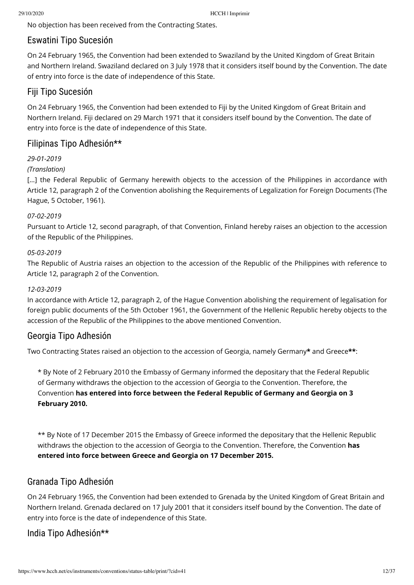No objection has been received from the Contracting States.

# Eswatini Tipo Sucesión

On 24 February 1965, the Convention had been extended to Swaziland by the United Kingdom of Great Britain and Northern Ireland. Swaziland declared on 3 July 1978 that it considers itself bound by the Convention. The date of entry into force is the date of independence of this State.

# Fiji Tipo Sucesión

On 24 February 1965, the Convention had been extended to Fiji by the United Kingdom of Great Britain and Northern Ireland. Fiji declared on 29 March 1971 that it considers itself bound by the Convention. The date of entry into force is the date of independence of this State.

# Filipinas Tipo Adhesión\*\*

## *29-01-2019*

## *(Translation)*

[...] the Federal Republic of Germany herewith objects to the accession of the Philippines in accordance with Article 12, paragraph 2 of the Convention abolishing the Requirements of Legalization for Foreign Documents (The Hague, 5 October, 1961).

## *07-02-2019*

Pursuant to Article 12, second paragraph, of that Convention, Finland hereby raises an objection to the accession of the Republic of the Philippines.

## *05-03-2019*

The Republic of Austria raises an objection to the accession of the Republic of the Philippines with reference to Article 12, paragraph 2 of the Convention.

## *12-03-2019*

In accordance with Article 12, paragraph 2, of the Hague Convention abolishing the requirement of legalisation for foreign public documents of the 5th October 1961, the Government of the Hellenic Republic hereby objects to the accession of the Republic of the Philippines to the above mentioned Convention.

# Georgia Tipo Adhesión

Two Contracting States raised an objection to the accession of Georgia, namely Germany**\*** and Greece**\*\***:

\* By Note of 2 February 2010 the Embassy of Germany informed the depositary that the Federal Republic of Germany withdraws the objection to the accession of Georgia to the Convention. Therefore, the Convention **has entered into force between the Federal Republic of Germany and Georgia on 3 February 2010.**

\*\* By Note of 17 December 2015 the Embassy of Greece informed the depositary that the Hellenic Republic withdraws the objection to the accession of Georgia to the Convention. Therefore, the Convention **has entered into force between Greece and Georgia on 17 December 2015.**

# Granada Tipo Adhesión

On 24 February 1965, the Convention had been extended to Grenada by the United Kingdom of Great Britain and Northern Ireland. Grenada declared on 17 July 2001 that it considers itself bound by the Convention. The date of entry into force is the date of independence of this State.

# India Tipo Adhesión\*\*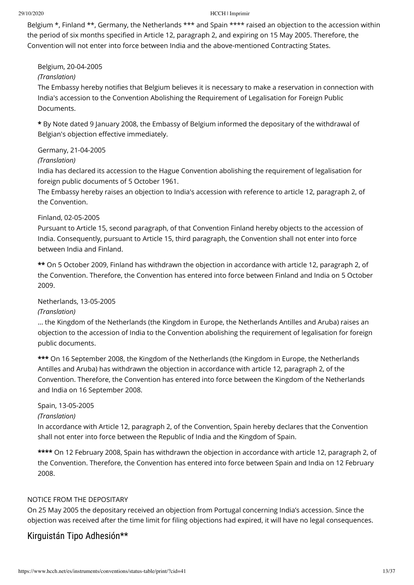Belgium \*, Finland \*\*, Germany, the Netherlands \*\*\* and Spain \*\*\*\* raised an objection to the accession within the period of six months specified in Article 12, paragraph 2, and expiring on 15 May 2005. Therefore, the Convention will not enter into force between India and the above-mentioned Contracting States.

Belgium, 20-04-2005

## *(Translation)*

The Embassy hereby notifies that Belgium believes it is necessary to make a reservation in connection with India's accession to the Convention Abolishing the Requirement of Legalisation for Foreign Public Documents.

**\*** By Note dated 9 January 2008, the Embassy of Belgium informed the depositary of the withdrawal of Belgian's objection effective immediately.

### Germany, 21-04-2005

### *(Translation)*

India has declared its accession to the Hague Convention abolishing the requirement of legalisation for foreign public documents of 5 October 1961.

The Embassy hereby raises an objection to India's accession with reference to article 12, paragraph 2, of the Convention.

### Finland, 02-05-2005

Pursuant to Article 15, second paragraph, of that Convention Finland hereby objects to the accession of India. Consequently, pursuant to Article 15, third paragraph, the Convention shall not enter into force between India and Finland.

**\*\*** On 5 October 2009, Finland has withdrawn the objection in accordance with article 12, paragraph 2, of the Convention. Therefore, the Convention has entered into force between Finland and India on 5 October 2009.

## Netherlands, 13-05-2005

#### *(Translation)*

... the Kingdom of the Netherlands (the Kingdom in Europe, the Netherlands Antilles and Aruba) raises an objection to the accession of India to the Convention abolishing the requirement of legalisation for foreign public documents.

**\*\*\*** On 16 September 2008, the Kingdom of the Netherlands (the Kingdom in Europe, the Netherlands Antilles and Aruba) has withdrawn the objection in accordance with article 12, paragraph 2, of the Convention. Therefore, the Convention has entered into force between the Kingdom of the Netherlands and India on 16 September 2008.

#### Spain, 13-05-2005

#### *(Translation)*

In accordance with Article 12, paragraph 2, of the Convention, Spain hereby declares that the Convention shall not enter into force between the Republic of India and the Kingdom of Spain.

**\*\*\*\*** On 12 February 2008, Spain has withdrawn the objection in accordance with article 12, paragraph 2, of the Convention. Therefore, the Convention has entered into force between Spain and India on 12 February 2008.

#### NOTICE FROM THE DEPOSITARY

On 25 May 2005 the depositary received an objection from Portugal concerning India's accession. Since the objection was received after the time limit for filing objections had expired, it will have no legal consequences.

# Kirguistán Tipo Adhesión\*\*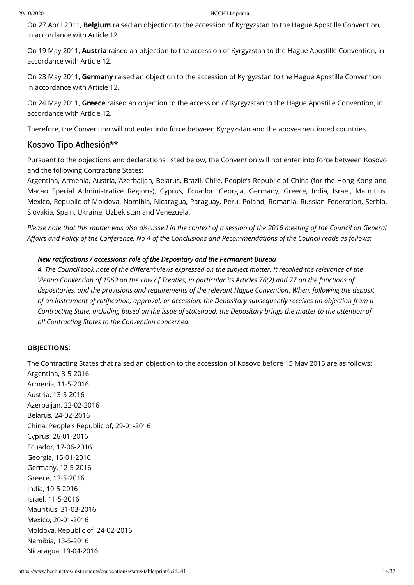On 27 April 2011, **Belgium** raised an objection to the accession of Kyrgyzstan to the Hague Apostille Convention, in accordance with Article 12.

On 19 May 2011, **Austria** raised an objection to the accession of Kyrgyzstan to the Hague Apostille Convention, in accordance with Article 12.

On 23 May 2011, **Germany** raised an objection to the accession of Kyrgyzstan to the Hague Apostille Convention, in accordance with Article 12.

On 24 May 2011, **Greece** raised an objection to the accession of Kyrgyzstan to the Hague Apostille Convention, in accordance with Article 12.

Therefore, the Convention will not enter into force between Kyrgyzstan and the above-mentioned countries.

## Kosovo Tipo Adhesión\*\*

Pursuant to the objections and declarations listed below, the Convention will not enter into force between Kosovo and the following Contracting States:

Argentina, Armenia, Austria, Azerbaijan, Belarus, Brazil, Chile, People's Republic of China (for the Hong Kong and Macao Special Administrative Regions), Cyprus, Ecuador, Georgia, Germany, Greece, India, Israel, Mauritius, Mexico, Republic of Moldova, Namibia, Nicaragua, Paraguay, Peru, Poland, Romania, Russian Federation, Serbia, Slovakia, Spain, Ukraine, Uzbekistan and Venezuela.

*Please note that this matter was also discussed in the context of a session of the 2016 meeting of the Council on General* Affairs and Policy of the Conference. No 4 of the Conclusions and Recommendations of the Council reads as follows:

#### *New ratifications / accessions: role of the Depositary and the Permanent Bureau*

4. The Council took note of the different views expressed on the subject matter. It recalled the relevance of the *Vienna Convention of 1969 on the Law of Treaties, in particular its Articles 76(2) and 77 on the functions of depositories, and the provisions and requirements of the relevant Hague Convention. When, following the deposit of an instrument of ratication, approval, or accession, the Depositary subsequently receives an objection from a Contracting State, including based on the issue of statehood, the Depositary brings the matter to the attention of all Contracting States to the Convention concerned.*

#### **OBJECTIONS:**

The Contracting States that raised an objection to the accession of Kosovo before 15 May 2016 are as follows: Argentina, 3-5-2016 Armenia, 11-5-2016 Austria, 13-5-2016 Azerbaijan, 22-02-2016 Belarus, 24-02-2016 China, People's Republic of, 29-01-2016 Cyprus, 26-01-2016 Ecuador, 17-06-2016 Georgia, 15-01-2016 Germany, 12-5-2016 Greece, 12-5-2016 India, 10-5-2016 Israel, 11-5-2016 Mauritius, 31-03-2016 Mexico, 20-01-2016 Moldova, Republic of, 24-02-2016 Namibia, 13-5-2016 Nicaragua, 19-04-2016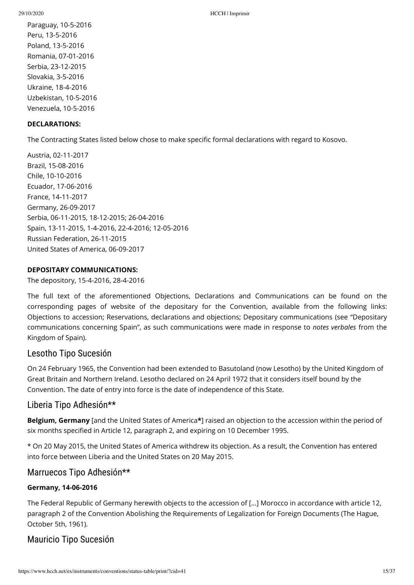Paraguay, 10-5-2016 Peru, 13-5-2016 Poland, 13-5-2016 Romania, 07-01-2016 Serbia, 23-12-2015 Slovakia, 3-5-2016 Ukraine, 18-4-2016 Uzbekistan, 10-5-2016 Venezuela, 10-5-2016

## **DECLARATIONS:**

The Contracting States listed below chose to make specific formal declarations with regard to Kosovo.

Austria, 02-11-2017 Brazil, 15-08-2016 Chile, 10-10-2016 Ecuador, 17-06-2016 France, 14-11-2017 Germany, 26-09-2017 Serbia, 06-11-2015, 18-12-2015; 26-04-2016 Spain, 13-11-2015, 1-4-2016, 22-4-2016; 12-05-2016 Russian Federation, 26-11-2015 United States of America, 06-09-2017

## **DEPOSITARY COMMUNICATIONS:**

The depository, 15-4-2016, 28-4-2016

The full text of the aforementioned Objections, Declarations and Communications can be found on the corresponding pages of website of the depositary for the Convention, available from the following links: [Objections to accession](https://treatydatabase.overheid.nl/en/Verdrag/Details/009051_db.html); [Reservations, declarations and objections](https://treatydatabase.overheid.nl/en/Verdrag/Details/009051_b.html); [Depositary communications](https://treatydatabase.overheid.nl/en/Verdrag/Details/009051_dm.html) (see "Depositary communications concerning Spain", as such communications were made in response to *notes verbales* from the Kingdom of Spain).

# Lesotho Tipo Sucesión

On 24 February 1965, the Convention had been extended to Basutoland (now Lesotho) by the United Kingdom of Great Britain and Northern Ireland. Lesotho declared on 24 April 1972 that it considers itself bound by the Convention. The date of entry into force is the date of independence of this State.

# Liberia Tipo Adhesión\*\*

**Belgium, Germany** [and the United States of America**\***] raised an objection to the accession within the period of six months specified in Article 12, paragraph 2, and expiring on 10 December 1995.

\* On 20 May 2015, the United States of America withdrew its objection. As a result, the Convention has entered into force between Liberia and the United States on 20 May 2015.

## Marruecos Tipo Adhesión\*\*

## **Germany, 14-06-2016**

The Federal Republic of Germany herewith objects to the accession of […] Morocco in accordance with article 12, paragraph 2 of the Convention Abolishing the Requirements of Legalization for Foreign Documents (The Hague, October 5th, 1961).

# Mauricio Tipo Sucesión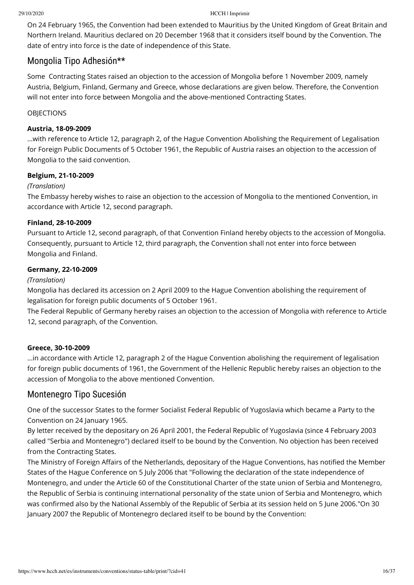On 24 February 1965, the Convention had been extended to Mauritius by the United Kingdom of Great Britain and Northern Ireland. Mauritius declared on 20 December 1968 that it considers itself bound by the Convention. The date of entry into force is the date of independence of this State.

## Mongolia Tipo Adhesión\*\*

Some Contracting States raised an objection to the accession of Mongolia before 1 November 2009, namely Austria, Belgium, Finland, Germany and Greece, whose declarations are given below. Therefore, the Convention will not enter into force between Mongolia and the above-mentioned Contracting States.

### **OBIECTIONS**

### **Austria, 18-09-2009**

...with reference to Article 12, paragraph 2, of the Hague Convention Abolishing the Requirement of Legalisation for Foreign Public Documents of 5 October 1961, the Republic of Austria raises an objection to the accession of Mongolia to the said convention.

### **Belgium, 21-10-2009**

### *(Translation)*

The Embassy hereby wishes to raise an objection to the accession of Mongolia to the mentioned Convention, in accordance with Article 12, second paragraph.

### **Finland, 28-10-2009**

Pursuant to Article 12, second paragraph, of that Convention Finland hereby objects to the accession of Mongolia. Consequently, pursuant to Article 12, third paragraph, the Convention shall not enter into force between Mongolia and Finland.

### **Germany, 22-10-2009**

### *(Translation)*

Mongolia has declared its accession on 2 April 2009 to the Hague Convention abolishing the requirement of legalisation for foreign public documents of 5 October 1961.

The Federal Republic of Germany hereby raises an objection to the accession of Mongolia with reference to Article 12, second paragraph, of the Convention.

#### **Greece, 30-10-2009**

...in accordance with Article 12, paragraph 2 of the Hague Convention abolishing the requirement of legalisation for foreign public documents of 1961, the Government of the Hellenic Republic hereby raises an objection to the accession of Mongolia to the above mentioned Convention.

## Montenegro Tipo Sucesión

One of the successor States to the former Socialist Federal Republic of Yugoslavia which became a Party to the Convention on 24 January 1965.

By letter received by the depositary on 26 April 2001, the Federal Republic of Yugoslavia (since 4 February 2003 called "Serbia and Montenegro") declared itself to be bound by the Convention. No objection has been received from the Contracting States.

The Ministry of Foreign Affairs of the Netherlands, depositary of the Hague Conventions, has notified the Member States of the Hague Conference on 5 July 2006 that "Following the declaration of the state independence of Montenegro, and under the Article 60 of the Constitutional Charter of the state union of Serbia and Montenegro, the Republic of Serbia is continuing international personality of the state union of Serbia and Montenegro, which was confirmed also by the National Assembly of the Republic of Serbia at its session held on 5 June 2006."On 30 January 2007 the Republic of Montenegro declared itself to be bound by the Convention: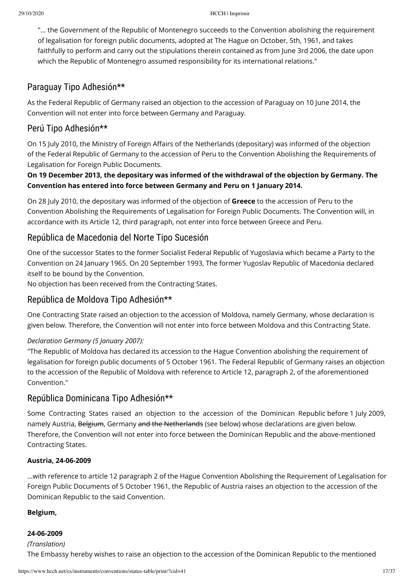"... the Government of the Republic of Montenegro succeeds to the Convention abolishing the requirement of legalisation for foreign public documents, adopted at The Hague on October, 5th, 1961, and takes faithfully to perform and carry out the stipulations therein contained as from June 3rd 2006, the date upon which the Republic of Montenegro assumed responsibility for its international relations."

# Paraguay Tipo Adhesión\*\*

As the Federal Republic of Germany raised an objection to the accession of Paraguay on 10 June 2014, the Convention will not enter into force between Germany and Paraguay.

# Perú Tipo Adhesión\*\*

On 15 July 2010, the Ministry of Foreign Affairs of the Netherlands (depositary) was informed of the objection of the Federal Republic of Germany to the accession of Peru to the Convention Abolishing the Requirements of Legalisation for Foreign Public Documents.

**On 19 December 2013, the depositary was informed of the withdrawal of the objection by Germany. The Convention has entered into force between Germany and Peru on 1 January 2014.**

On 28 July 2010, the depositary was informed of the objection of **Greece** to the accession of Peru to the Convention Abolishing the Requirements of Legalisation for Foreign Public Documents. The Convention will, in accordance with its Article 12, third paragraph, not enter into force between Greece and Peru.

# República de Macedonia del Norte Tipo Sucesión

One of the successor States to the former Socialist Federal Republic of Yugoslavia which became a Party to the Convention on 24 January 1965. On 20 September 1993, The former Yugoslav Republic of Macedonia declared itself to be bound by the Convention.

No objection has been received from the Contracting States.

# República de Moldova Tipo Adhesión\*\*

One Contracting State raised an objection to the accession of Moldova, namely Germany, whose declaration is given below. Therefore, the Convention will not enter into force between Moldova and this Contracting State.

## *Declaration Germany (5 January 2007):*

"The Republic of Moldova has declared its accession to the Hague Convention abolishing the requirement of legalisation for foreign public documents of 5 October 1961. The Federal Republic of Germany raises an objection to the accession of the Republic of Moldova with reference to Article 12, paragraph 2, of the aforementioned Convention."

# República Dominicana Tipo Adhesión\*\*

Some Contracting States raised an objection to the accession of the Dominican Republic before 1 July 2009, namely Austria, Belgium, Germany and the Netherlands (see below) whose declarations are given below. Therefore, the Convention will not enter into force between the Dominican Republic and the above-mentioned Contracting States.

## **Austria, 24-06-2009**

...with reference to article 12 paragraph 2 of the Hague Convention Abolishing the Requirement of Legalisation for Foreign Public Documents of 5 October 1961, the Republic of Austria raises an objection to the accession of the Dominican Republic to the said Convention.

## **Belgium,**

## **24-06-2009**

*(Translation)* The Embassy hereby wishes to raise an objection to the accession of the Dominican Republic to the mentioned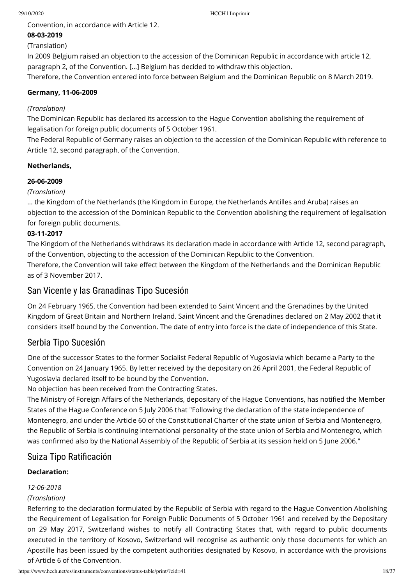Convention, in accordance with Article 12.

## **08-03-2019**

## (Translation)

In 2009 Belgium raised an objection to the accession of the Dominican Republic in accordance with article 12, paragraph 2, of the Convention. […] Belgium has decided to withdraw this objection.

Therefore, the Convention entered into force between Belgium and the Dominican Republic on 8 March 2019.

## **Germany, 11-06-2009**

## *(Translation)*

The Dominican Republic has declared its accession to the Hague Convention abolishing the requirement of legalisation for foreign public documents of 5 October 1961.

The Federal Republic of Germany raises an objection to the accession of the Dominican Republic with reference to Article 12, second paragraph, of the Convention.

## **Netherlands,**

## **26-06-2009**

## *(Translation)*

... the Kingdom of the Netherlands (the Kingdom in Europe, the Netherlands Antilles and Aruba) raises an objection to the accession of the Dominican Republic to the Convention abolishing the requirement of legalisation for foreign public documents.

## **03-11-2017**

The Kingdom of the Netherlands withdraws its declaration made in accordance with Article 12, second paragraph, of the Convention, objecting to the accession of the Dominican Republic to the Convention. Therefore, the Convention will take effect between the Kingdom of the Netherlands and the Dominican Republic

as of 3 November 2017.

# San Vicente y las Granadinas Tipo Sucesión

On 24 February 1965, the Convention had been extended to Saint Vincent and the Grenadines by the United Kingdom of Great Britain and Northern Ireland. Saint Vincent and the Grenadines declared on 2 May 2002 that it considers itself bound by the Convention. The date of entry into force is the date of independence of this State.

# Serbia Tipo Sucesión

One of the successor States to the former Socialist Federal Republic of Yugoslavia which became a Party to the Convention on 24 January 1965. By letter received by the depositary on 26 April 2001, the Federal Republic of Yugoslavia declared itself to be bound by the Convention.

No objection has been received from the Contracting States.

The Ministry of Foreign Affairs of the Netherlands, depositary of the Hague Conventions, has notified the Member States of the Hague Conference on 5 July 2006 that "Following the declaration of the state independence of Montenegro, and under the Article 60 of the Constitutional Charter of the state union of Serbia and Montenegro, the Republic of Serbia is continuing international personality of the state union of Serbia and Montenegro, which was confirmed also by the National Assembly of the Republic of Serbia at its session held on 5 June 2006."

# Suiza Tipo Ratificación

## **Declaration:**

# *12-06-2018*

## *(Translation)*

Referring to the declaration formulated by the Republic of Serbia with regard to the Hague Convention Abolishing the Requirement of Legalisation for Foreign Public Documents of 5 October 1961 and received by the Depositary on 29 May 2017, Switzerland wishes to notify all Contracting States that, with regard to public documents executed in the territory of Kosovo, Switzerland will recognise as authentic only those documents for which an Apostille has been issued by the competent authorities designated by Kosovo, in accordance with the provisions of Article 6 of the Convention.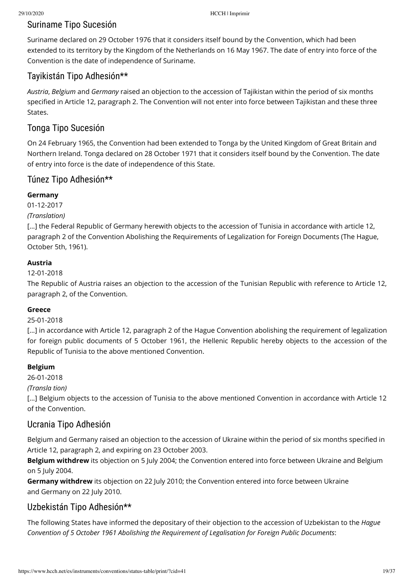# Suriname Tipo Sucesión

Suriname declared on 29 October 1976 that it considers itself bound by the Convention, which had been extended to its territory by the Kingdom of the Netherlands on 16 May 1967. The date of entry into force of the Convention is the date of independence of Suriname.

# Tayikistán Tipo Adhesión\*\*

*Austria*, *Belgium* and *Germany* raised an objection to the accession of Tajikistan within the period of six months specified in Article 12, paragraph 2. The Convention will not enter into force between Tajikistan and these three States.

# Tonga Tipo Sucesión

On 24 February 1965, the Convention had been extended to Tonga by the United Kingdom of Great Britain and Northern Ireland. Tonga declared on 28 October 1971 that it considers itself bound by the Convention. The date of entry into force is the date of independence of this State.

# Túnez Tipo Adhesión\*\*

## **Germany**

01-12-2017

*(Translation)*

[...] the Federal Republic of Germany herewith objects to the accession of Tunisia in accordance with article 12, paragraph 2 of the Convention Abolishing the Requirements of Legalization for Foreign Documents (The Hague, October 5th, 1961).

## **Austria**

## 12-01-2018

The Republic of Austria raises an objection to the accession of the Tunisian Republic with reference to Article 12, paragraph 2, of the Convention.

## **Greece**

## 25-01-2018

[...] in accordance with Article 12, paragraph 2 of the Hague Convention abolishing the requirement of legalization for foreign public documents of 5 October 1961, the Hellenic Republic hereby objects to the accession of the Republic of Tunisia to the above mentioned Convention.

## **Belgium**

26-01-2018

*(Transla tion)*

[...] Belgium objects to the accession of Tunisia to the above mentioned Convention in accordance with Article 12 of the Convention.

# Ucrania Tipo Adhesión

Belgium and Germany raised an objection to the accession of Ukraine within the period of six months specified in Article 12, paragraph 2, and expiring on 23 October 2003.

**Belgium withdrew** its objection on 5 July 2004; the Convention entered into force between Ukraine and Belgium on 5 July 2004.

**Germany withdrew** its objection on 22 July 2010; the Convention entered into force between Ukraine and Germany on 22 July 2010.

# Uzbekistán Tipo Adhesión\*\*

The following States have informed the depositary of their objection to the accession of Uzbekistan to the *Hague Convention of 5 October 1961 Abolishing the Requirement of Legalisation for Foreign Public Documents*: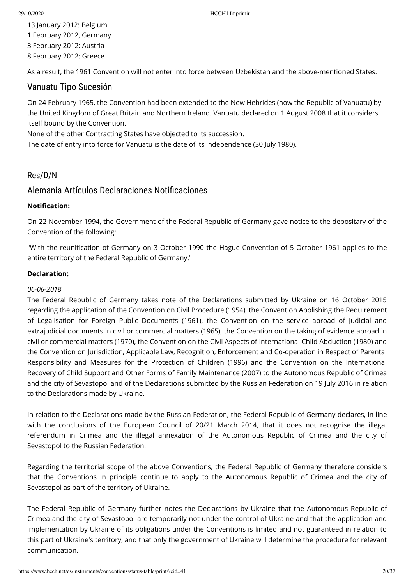13 January 2012: Belgium 1 February 2012, Germany 3 February 2012: Austria 8 February 2012: Greece

As a result, the 1961 Convention will not enter into force between Uzbekistan and the above-mentioned States.

## Vanuatu Tipo Sucesión

On 24 February 1965, the Convention had been extended to the New Hebrides (now the Republic of Vanuatu) by the United Kingdom of Great Britain and Northern Ireland. Vanuatu declared on 1 August 2008 that it considers itself bound by the Convention.

None of the other Contracting States have objected to its succession.

The date of entry into force for Vanuatu is the date of its independence (30 July 1980).

## Res/D/N

## Alemania Artículos Declaraciones Notificaciones

### **Notification:**

On 22 November 1994, the Government of the Federal Republic of Germany gave notice to the depositary of the Convention of the following:

"With the reunification of Germany on 3 October 1990 the Hague Convention of 5 October 1961 applies to the entire territory of the Federal Republic of Germany."

### **Declaration:**

#### *06-06-2018*

The Federal Republic of Germany takes note of the Declarations submitted by Ukraine on 16 October 2015 regarding the application of the Convention on Civil Procedure (1954), the Convention Abolishing the Requirement of Legalisation for Foreign Public Documents (1961), the Convention on the service abroad of judicial and extrajudicial documents in civil or commercial matters (1965), the Convention on the taking of evidence abroad in civil or commercial matters (1970), the Convention on the Civil Aspects of International Child Abduction (1980) and the Convention on Jurisdiction, Applicable Law, Recognition, Enforcement and Co-operation in Respect of Parental Responsibility and Measures for the Protection of Children (1996) and the Convention on the International Recovery of Child Support and Other Forms of Family Maintenance (2007) to the Autonomous Republic of Crimea and the city of Sevastopol and of the Declarations submitted by the Russian Federation on 19 July 2016 in relation to the Declarations made by Ukraine.

In relation to the Declarations made by the Russian Federation, the Federal Republic of Germany declares, in line with the conclusions of the European Council of 20/21 March 2014, that it does not recognise the illegal referendum in Crimea and the illegal annexation of the Autonomous Republic of Crimea and the city of Sevastopol to the Russian Federation.

Regarding the territorial scope of the above Conventions, the Federal Republic of Germany therefore considers that the Conventions in principle continue to apply to the Autonomous Republic of Crimea and the city of Sevastopol as part of the territory of Ukraine.

The Federal Republic of Germany further notes the Declarations by Ukraine that the Autonomous Republic of Crimea and the city of Sevastopol are temporarily not under the control of Ukraine and that the application and implementation by Ukraine of its obligations under the Conventions is limited and not guaranteed in relation to this part of Ukraine's territory, and that only the government of Ukraine will determine the procedure for relevant communication.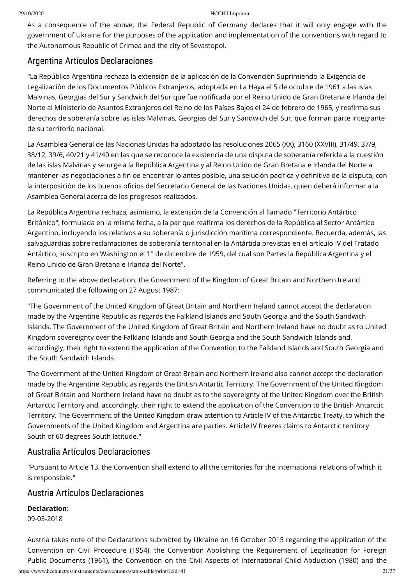As a consequence of the above, the Federal Republic of Germany declares that it will only engage with the government of Ukraine for the purposes of the application and implementation of the conventions with regard to the Autonomous Republic of Crimea and the city of Sevastopol.

# Argentina Artículos Declaraciones

"La República Argentina rechaza la extensión de la aplicación de la Convención Suprimiendo la Exigencia de Legalización de los Documentos Públicos Extranjeros, adoptada en La Haya el 5 de octubre de 1961 a las islas Malvinas, Georgias del Sur y Sandwich del Sur que fue noticada por el Reino Unido de Gran Bretana e Irlanda del Norte al Ministerio de Asuntos Extranjeros del Reino de los Países Bajos el 24 de febrero de 1965, y reafirma sus derechos de soberanía sobre las islas Malvinas, Georgias del Sur y Sandwich del Sur, que forman parte integrante de su territorio nacional.

La Asamblea General de las Nacionas Unidas ha adoptado las resoluciones 2065 (XX), 3160 (XXVIII), 31/49, 37/9, 38/12, 39/6, 40/21 y 41/40 en las que se reconoce la existencia de una disputa de soberanía referida a la cuestión de las islas Malvinas y se urge a la República Argentina y al Reino Unido de Gran Bretana e Irlanda del Norte a mantener las negociaciones a fin de encontrar lo antes posible, una selución pacífica y definitiva de la disputa, con la interposición de los buenos oficios del Secretario General de las Naciones Unidas, quien deberá informar a la Asamblea General acerca de los progresos realizados.

La República Argentina rechaza, asimismo, la extensión de la Convención al llamado "Territorio Antártico Británico", formulada en la misma fecha, a la par que reafirma los derechos de la República al Sector Antártico Argentino, incluyendo los relativos a su soberanía o jurisdicción marítima correspondiente. Recuerda, además, las salvaguardias sobre reclamaciones de soberanía territorial en la Antártida previstas en el artículo IV del Tratado Antártico, suscripto en Washington el 1° de diciembre de 1959, del cual son Partes la República Argentina y el Reino Unido de Gran Bretana e Irlanda del Norte".

Referring to the above declaration, the Government of the Kingdom of Great Britain and Northern Ireland communicated the following on 27 August 1987:

"The Government of the United Kingdom of Great Britain and Northern Ireland cannot accept the declaration made by the Argentine Republic as regards the Falkland Islands and South Georgia and the South Sandwich Islands. The Government of the United Kingdom of Great Britain and Northern Ireland have no doubt as to United Kingdom sovereignty over the Falkland Islands and South Georgia and the South Sandwich Islands and, accordingly, their right to extend the application of the Convention to the Falkland Islands and South Georgia and the South Sandwich Islands.

The Government of the United Kingdom of Great Britain and Northern Ireland also cannot accept the declaration made by the Argentine Republic as regards the British Antartic Territory. The Government of the United Kingdom of Great Britain and Northern Ireland have no doubt as to the sovereignty of the United Kingdom over the British Antarctic Territory and, accordingly, their right to extend the application of the Convention to the British Antarctic Territory. The Government of the United Kingdom draw attention to Article IV of the Antarctic Treaty, to which the Governments of the United Kingdom and Argentina are parties. Article IV freezes claims to Antarctic territory South of 60 degrees South latitude."

# Australia Artículos Declaraciones

"Pursuant to Article 13, the Convention shall extend to all the territories for the international relations of which it is responsible."

# Austria Artículos Declaraciones

**Declaration:**

09-03-2018

https://www.hcch.net/es/instruments/conventions/status-table/print/?cid=41 21/37 Austria takes note of the Declarations submitted by Ukraine on 16 October 2015 regarding the application of the Convention on Civil Procedure (1954), the Convention Abolishing the Requirement of Legalisation for Foreign Public Documents (1961), the Convention on the Civil Aspects of International Child Abduction (1980) and the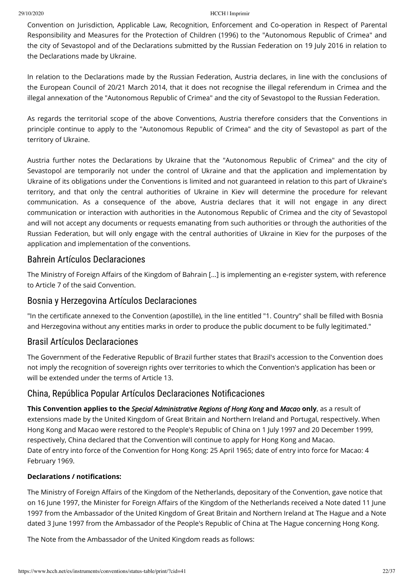Convention on Jurisdiction, Applicable Law, Recognition, Enforcement and Co-operation in Respect of Parental Responsibility and Measures for the Protection of Children (1996) to the "Autonomous Republic of Crimea" and the city of Sevastopol and of the Declarations submitted by the Russian Federation on 19 July 2016 in relation to the Declarations made by Ukraine.

In relation to the Declarations made by the Russian Federation, Austria declares, in line with the conclusions of the European Council of 20/21 March 2014, that it does not recognise the illegal referendum in Crimea and the illegal annexation of the "Autonomous Republic of Crimea" and the city of Sevastopol to the Russian Federation.

As regards the territorial scope of the above Conventions, Austria therefore considers that the Conventions in principle continue to apply to the "Autonomous Republic of Crimea" and the city of Sevastopol as part of the territory of Ukraine.

Austria further notes the Declarations by Ukraine that the "Autonomous Republic of Crimea" and the city of Sevastopol are temporarily not under the control of Ukraine and that the application and implementation by Ukraine of its obligations under the Conventions is limited and not guaranteed in relation to this part of Ukraine's territory, and that only the central authorities of Ukraine in Kiev will determine the procedure for relevant communication. As a consequence of the above, Austria declares that it will not engage in any direct communication or interaction with authorities in the Autonomous Republic of Crimea and the city of Sevastopol and will not accept any documents or requests emanating from such authorities or through the authorities of the Russian Federation, but will only engage with the central authorities of Ukraine in Kiev for the purposes of the application and implementation of the conventions.

# Bahrein Artículos Declaraciones

The Ministry of Foreign Affairs of the Kingdom of Bahrain [...] is implementing an e-register system, with reference to Article 7 of the said Convention.

# Bosnia y Herzegovina Artículos Declaraciones

"In the certificate annexed to the Convention (apostille), in the line entitled "1. Country" shall be filled with Bosnia and Herzegovina without any entities marks in order to produce the public document to be fully legitimated."

# Brasil Artículos Declaraciones

The Government of the Federative Republic of Brazil further states that Brazil's accession to the Convention does not imply the recognition of sovereign rights over territories to which the Convention's application has been or will be extended under the terms of Article 13.

# China, República Popular Artículos Declaraciones Notificaciones

**This Convention applies to the** *Special Administrative Regions of Hong Kong* **and** *Macao* **only**, as a result of extensions made by the United Kingdom of Great Britain and Northern Ireland and Portugal, respectively. When Hong Kong and Macao were restored to the People's Republic of China on 1 July 1997 and 20 December 1999, respectively, China declared that the Convention will continue to apply for Hong Kong and Macao. Date of entry into force of the Convention for Hong Kong: 25 April 1965; date of entry into force for Macao: 4 February 1969.

## **Declarations / notifications:**

The Ministry of Foreign Affairs of the Kingdom of the Netherlands, depositary of the Convention, gave notice that on 16 June 1997, the Minister for Foreign Affairs of the Kingdom of the Netherlands received a Note dated 11 June 1997 from the Ambassador of the United Kingdom of Great Britain and Northern Ireland at The Hague and a Note dated 3 June 1997 from the Ambassador of the People's Republic of China at The Hague concerning Hong Kong.

The Note from the Ambassador of the United Kingdom reads as follows: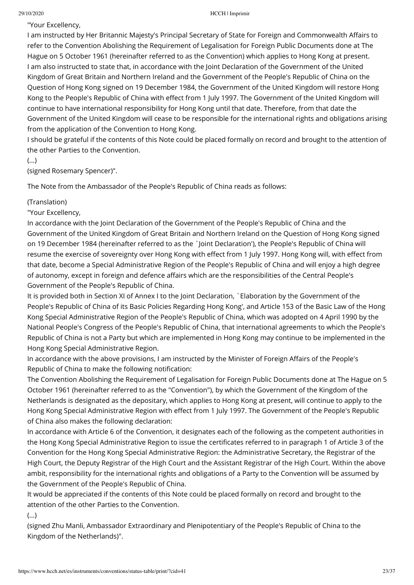"Your Excellency,

I am instructed by Her Britannic Majesty's Principal Secretary of State for Foreign and Commonwealth Affairs to refer to the Convention Abolishing the Requirement of Legalisation for Foreign Public Documents done at The Hague on 5 October 1961 (hereinafter referred to as the Convention) which applies to Hong Kong at present. I am also instructed to state that, in accordance with the Joint Declaration of the Government of the United Kingdom of Great Britain and Northern Ireland and the Government of the People's Republic of China on the Question of Hong Kong signed on 19 December 1984, the Government of the United Kingdom will restore Hong Kong to the People's Republic of China with effect from 1 July 1997. The Government of the United Kingdom will continue to have international responsibility for Hong Kong until that date. Therefore, from that date the Government of the United Kingdom will cease to be responsible for the international rights and obligations arising from the application of the Convention to Hong Kong.

I should be grateful if the contents of this Note could be placed formally on record and brought to the attention of the other Parties to the Convention.

(...)

(signed Rosemary Spencer)".

The Note from the Ambassador of the People's Republic of China reads as follows:

### (Translation)

"Your Excellency,

In accordance with the Joint Declaration of the Government of the People's Republic of China and the Government of the United Kingdom of Great Britain and Northern Ireland on the Question of Hong Kong signed on 19 December 1984 (hereinafter referred to as the `Joint Declaration'), the People's Republic of China will resume the exercise of sovereignty over Hong Kong with effect from 1 July 1997. Hong Kong will, with effect from that date, become a Special Administrative Region of the People's Republic of China and will enjoy a high degree of autonomy, except in foreign and defence affairs which are the responsibilities of the Central People's Government of the People's Republic of China.

It is provided both in Section XI of Annex I to the Joint Declaration, `Elaboration by the Government of the People's Republic of China of its Basic Policies Regarding Hong Kong', and Article 153 of the Basic Law of the Hong Kong Special Administrative Region of the People's Republic of China, which was adopted on 4 April 1990 by the National People's Congress of the People's Republic of China, that international agreements to which the People's Republic of China is not a Party but which are implemented in Hong Kong may continue to be implemented in the Hong Kong Special Administrative Region.

In accordance with the above provisions, I am instructed by the Minister of Foreign Affairs of the People's Republic of China to make the following notification:

The Convention Abolishing the Requirement of Legalisation for Foreign Public Documents done at The Hague on 5 October 1961 (hereinafter referred to as the "Convention"), by which the Government of the Kingdom of the Netherlands is designated as the depositary, which applies to Hong Kong at present, will continue to apply to the Hong Kong Special Administrative Region with effect from 1 July 1997. The Government of the People's Republic of China also makes the following declaration:

In accordance with Article 6 of the Convention, it designates each of the following as the competent authorities in the Hong Kong Special Administrative Region to issue the certificates referred to in paragraph 1 of Article 3 of the Convention for the Hong Kong Special Administrative Region: the Administrative Secretary, the Registrar of the High Court, the Deputy Registrar of the High Court and the Assistant Registrar of the High Court. Within the above ambit, responsibility for the international rights and obligations of a Party to the Convention will be assumed by the Government of the People's Republic of China.

It would be appreciated if the contents of this Note could be placed formally on record and brought to the attention of the other Parties to the Convention.

(...)

(signed Zhu Manli, Ambassador Extraordinary and Plenipotentiary of the People's Republic of China to the Kingdom of the Netherlands)".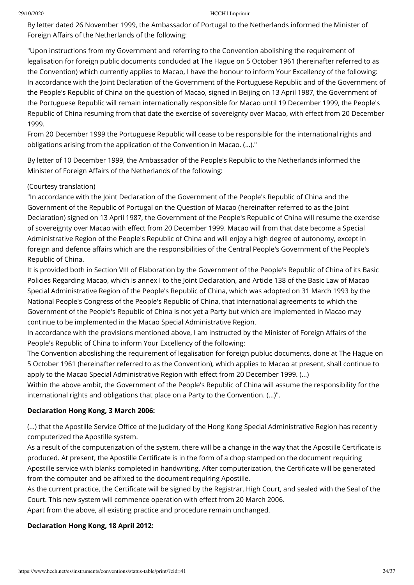By letter dated 26 November 1999, the Ambassador of Portugal to the Netherlands informed the Minister of Foreign Affairs of the Netherlands of the following:

"Upon instructions from my Government and referring to the Convention abolishing the requirement of legalisation for foreign public documents concluded at The Hague on 5 October 1961 (hereinafter referred to as the Convention) which currently applies to Macao, I have the honour to inform Your Excellency of the following: In accordance with the Joint Declaration of the Government of the Portuguese Republic and of the Government of the People's Republic of China on the question of Macao, signed in Beijing on 13 April 1987, the Government of the Portuguese Republic will remain internationally responsible for Macao until 19 December 1999, the People's Republic of China resuming from that date the exercise of sovereignty over Macao, with effect from 20 December 1999.

From 20 December 1999 the Portuguese Republic will cease to be responsible for the international rights and obligations arising from the application of the Convention in Macao. (…)."

By letter of 10 December 1999, the Ambassador of the People's Republic to the Netherlands informed the Minister of Foreign Affairs of the Netherlands of the following:

### (Courtesy translation)

"In accordance with the Joint Declaration of the Government of the People's Republic of China and the Government of the Republic of Portugal on the Question of Macao (hereinafter referred to as the Joint Declaration) signed on 13 April 1987, the Government of the People's Republic of China will resume the exercise of sovereignty over Macao with effect from 20 December 1999. Macao will from that date become a Special Administrative Region of the People's Republic of China and will enjoy a high degree of autonomy, except in foreign and defence affairs which are the responsibilities of the Central People's Government of the People's Republic of China.

It is provided both in Section VIII of Elaboration by the Government of the People's Republic of China of its Basic Policies Regarding Macao, which is annex I to the Joint Declaration, and Article 138 of the Basic Law of Macao Special Administrative Region of the People's Republic of China, which was adopted on 31 March 1993 by the National People's Congress of the People's Republic of China, that international agreements to which the Government of the People's Republic of China is not yet a Party but which are implemented in Macao may continue to be implemented in the Macao Special Administrative Region.

In accordance with the provisions mentioned above, I am instructed by the Minister of Foreign Affairs of the People's Republic of China to inform Your Excellency of the following:

The Convention aboslishing the requirement of legalisation for foreign publuc documents, done at The Hague on 5 October 1961 (hereinafter referred to as the Convention), which applies to Macao at present, shall continue to apply to the Macao Special Administrative Region with effect from 20 December 1999. (...)

Within the above ambit, the Government of the People's Republic of China will assume the responsibility for the international rights and obligations that place on a Party to the Convention. (…)".

## **Declaration Hong Kong, 3 March 2006:**

(...) that the Apostille Service Office of the Judiciary of the Hong Kong Special Administrative Region has recently computerized the Apostille system.

As a result of the computerization of the system, there will be a change in the way that the Apostille Certificate is produced. At present, the Apostille Certificate is in the form of a chop stamped on the document requiring Apostille service with blanks completed in handwriting. After computerization, the Certificate will be generated from the computer and be affixed to the document requiring Apostille.

As the current practice, the Certificate will be signed by the Registrar, High Court, and sealed with the Seal of the Court. This new system will commence operation with effect from 20 March 2006.

Apart from the above, all existing practice and procedure remain unchanged.

## **Declaration Hong Kong, 18 April 2012:**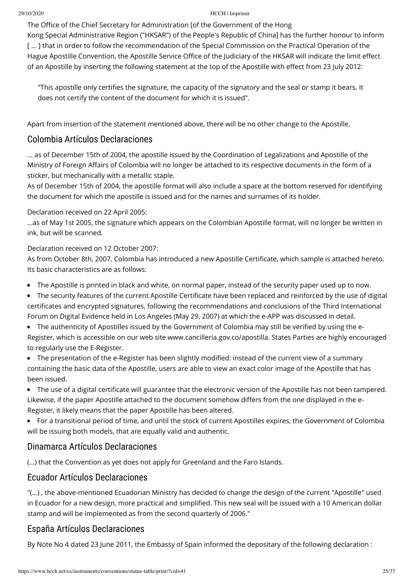The Office of the Chief Secretary for Administration [of the Government of the Hong

Kong Special Administrative Region ("HKSAR") of the People's Republic of China] has the further honour to inform [...] that in order to follow the recommendation of the Special Commission on the Practical Operation of the Hague Apostille Convention, the Apostille Service Office of the Judiciary of the HKSAR will indicate the limit effect of an Apostille by inserting the following statement at the top of the Apostille with effect from 23 July 2012:

"This apostille only certifies the signature, the capacity of the signatory and the seal or stamp it bears. It does not certify the content of the document for which it is issued".

Apart from insertion of the statement mentioned above, there will be no other change to the Apostille.

# Colombia Artículos Declaraciones

... as of December 15th of 2004, the apostille issued by the Coordination of Legalizations and Apostille of the Ministry of Foreign Affairs of Colombia will no longer be attached to its respective documents in the form of a sticker, but mechanically with a metallic staple.

As of December 15th of 2004, the apostille format will also include a space at the bottom reserved for identifying the document for which the apostille is issued and for the names and surnames of its holder.

## Declaration received on 22 April 2005:

...as of May 1st 2005, the signature which appears on the Colombian Apostille format, will no longer be written in ink, but will be scanned.

## Declaration received on 12 October 2007:

As from October 8th, 2007, Colombia has introduced a new Apostille Certificate, which sample is attached hereto. Its basic characteristics are as follows:

- The Apostille is printed in black and white, on normal paper, instead of the security paper used up to now.
- The security features of the current Apostille Certificate have been replaced and reinforced by the use of digital certificates and encrypted signatures, following the recommendations and conclusions of the Third International Forum on Digital Evidence held in Los Angeles (May 29, 2007) at which the e-APP was discussed in detail.
- The authenticity of Apostilles issued by the Government of Colombia may still be verified by using the e-Register, which is accessible on our web site [www.cancilleria.gov.co/apostilla.](http://www.cancilleria.gov.co/apostilla) States Parties are highly encouraged to regularly use the E-Register.
- The presentation of the e-Register has been slightly modified: instead of the current view of a summary containing the basic data of the Apostille, users are able to view an exact color image of the Apostille that has been issued.
- The use of a digital certificate will guarantee that the electronic version of the Apostille has not been tampered. Likewise, if the paper Apostille attached to the document somehow differs from the one displayed in the e-Register, it likely means that the paper Apostille has been altered.
- For a transitional period of time, and until the stock of current Apostilles expires, the Government of Colombia will be issuing both models, that are equally valid and authentic.

# Dinamarca Artículos Declaraciones

(...) that the Convention as yet does not apply for Greenland and the Faro Islands.

# Ecuador Artículos Declaraciones

"(...) , the above-mentioned Ecuadorian Ministry has decided to change the design of the current "Apostille" used in Ecuador for a new design, more practical and simplified. This new seal will be issued with a 10 American dollar stamp and will be implemented as from the second quarterly of 2006."

# España Artículos Declaraciones

By Note No 4 dated 23 June 2011, the Embassy of Spain informed the depositary of the following declaration :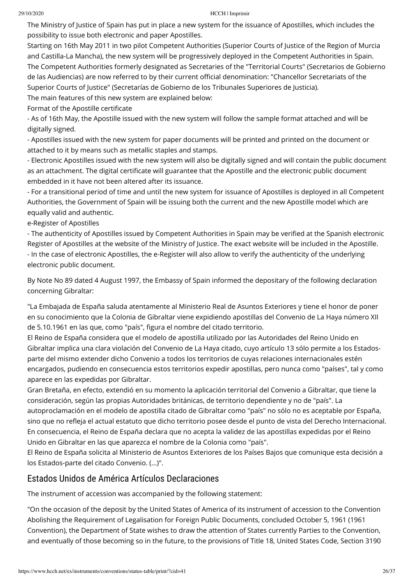The Ministry of Justice of Spain has put in place a new system for the issuance of Apostilles, which includes the possibility to issue both electronic and paper Apostilles.

Starting on 16th May 2011 in two pilot Competent Authorities (Superior Courts of Justice of the Region of Murcia and Castilla-La Mancha), the new system will be progressively deployed in the Competent Authorities in Spain. The Competent Authorities formerly designated as Secretaries of the "Territorial Courts" (Secretarios de Gobierno de las Audiencias) are now referred to by their current official denomination: "Chancellor Secretariats of the Superior Courts of Justice" (Secretarías de Gobierno de los Tribunales Superiores de Justicia).

The main features of this new system are explained below:

Format of the Apostille certificate

- As of 16th May, the Apostille issued with the new system will follow the [sample format attached](https://assets.hcch.net/upload/apostilla_revisada.pdf) and will be digitally signed.

- Apostilles issued with the new system for paper documents will be printed and printed on the document or attached to it by means such as metallic staples and stamps.

- Electronic Apostilles issued with the new system will also be digitally signed and will contain the public document as an attachment. The digital certificate will guarantee that the Apostille and the electronic public document embedded in it have not been altered after its issuance.

- For a transitional period of time and until the new system for issuance of Apostilles is deployed in all Competent Authorities, the Government of Spain will be issuing both the current and the new Apostille model which are equally valid and authentic.

e-Register of Apostilles

- The authenticity of Apostilles issued by Competent Authorities in Spain may be verified at the Spanish electronic Register of Apostilles at the website of the Ministry of Justice. The exact website will be included in the Apostille. - In the case of electronic Apostilles, the e-Register will also allow to verify the authenticity of the underlying electronic public document.

By Note No 89 dated 4 August 1997, the Embassy of Spain informed the depositary of the following declaration concerning Gibraltar:

"La Embajada de España saluda atentamente al Ministerio Real de Asuntos Exteriores y tiene el honor de poner en su conocimiento que la Colonia de Gibraltar viene expidiendo apostillas del Convenio de La Haya número XII de 5.10.1961 en las que, como "país", figura el nombre del citado territorio.

El Reino de España considera que el modelo de apostilla utilizado por las Autoridades del Reino Unido en Gibraltar implica una clara violación del Convenio de La Haya citado, cuyo artículo 13 sólo permite a los Estadosparte del mismo extender dicho Convenio a todos los territorios de cuyas relaciones internacionales estén encargados, pudiendo en consecuencia estos territorios expedir apostillas, pero nunca como "países", tal y como aparece en las expedidas por Gibraltar.

Gran Bretaña, en efecto, extendió en su momento la aplicación territorial del Convenio a Gibraltar, que tiene la consideración, según las propias Autoridades británicas, de territorio dependiente y no de "país". La autoproclamación en el modelo de apostilla citado de Gibraltar como "país" no sólo no es aceptable por España, sino que no refleja el actual estatuto que dicho territorio posee desde el punto de vista del Derecho Internacional. En consecuencia, el Reino de España declara que no acepta la validez de las apostillas expedidas por el Reino Unido en Gibraltar en las que aparezca el nombre de la Colonia como "país".

El Reino de España solicita al Ministerio de Asuntos Exteriores de los Países Bajos que comunique esta decisión a los Estados-parte del citado Convenio. (...)".

# Estados Unidos de América Artículos Declaraciones

The instrument of accession was accompanied by the following statement:

"On the occasion of the deposit by the United States of America of its instrument of accession to the Convention Abolishing the Requirement of Legalisation for Foreign Public Documents, concluded October 5, 1961 (1961 Convention), the Department of State wishes to draw the attention of States currently Parties to the Convention, and eventually of those becoming so in the future, to the provisions of Title 18, United States Code, Section 3190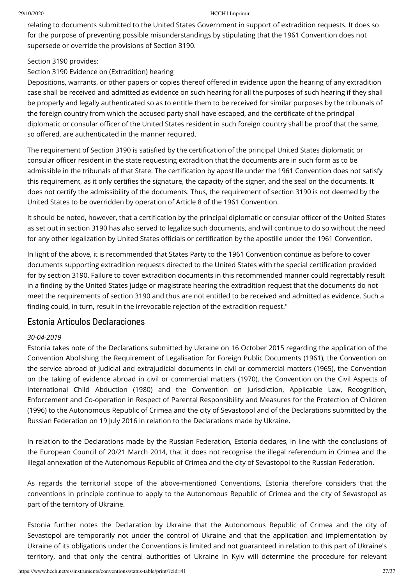relating to documents submitted to the United States Government in support of extradition requests. It does so for the purpose of preventing possible misunderstandings by stipulating that the 1961 Convention does not supersede or override the provisions of Section 3190.

## Section 3190 provides:

## Section 3190 Evidence on (Extradition) hearing

Depositions, warrants, or other papers or copies thereof offered in evidence upon the hearing of any extradition case shall be received and admitted as evidence on such hearing for all the purposes of such hearing if they shall be properly and legally authenticated so as to entitle them to be received for similar purposes by the tribunals of the foreign country from which the accused party shall have escaped, and the certificate of the principal diplomatic or consular officer of the United States resident in such foreign country shall be proof that the same, so offered, are authenticated in the manner required.

The requirement of Section 3190 is satisfied by the certification of the principal United States diplomatic or consular officer resident in the state requesting extradition that the documents are in such form as to be admissible in the tribunals of that State. The certification by apostille under the 1961 Convention does not satisfy this requirement, as it only certifies the signature, the capacity of the signer, and the seal on the documents. It does not certify the admissibility of the documents. Thus, the requirement of section 3190 is not deemed by the United States to be overridden by operation of Article 8 of the 1961 Convention.

It should be noted, however, that a certification by the principal diplomatic or consular officer of the United States as set out in section 3190 has also served to legalize such documents, and will continue to do so without the need for any other legalization by United States officials or certification by the apostille under the 1961 Convention.

In light of the above, it is recommended that States Party to the 1961 Convention continue as before to cover documents supporting extradition requests directed to the United States with the special certification provided for by section 3190. Failure to cover extradition documents in this recommended manner could regrettably result in a finding by the United States judge or magistrate hearing the extradition request that the documents do not meet the requirements of section 3190 and thus are not entitled to be received and admitted as evidence. Such a finding could, in turn, result in the irrevocable rejection of the extradition request."

# Estonia Artículos Declaraciones

## *30-04-2019*

Estonia takes note of the Declarations submitted by Ukraine on 16 October 2015 regarding the application of the Convention Abolishing the Requirement of Legalisation for Foreign Public Documents (1961), the Convention on the service abroad of judicial and extrajudicial documents in civil or commercial matters (1965), the Convention on the taking of evidence abroad in civil or commercial matters (1970), the Convention on the Civil Aspects of International Child Abduction (1980) and the Convention on Jurisdiction, Applicable Law, Recognition, Enforcement and Co-operation in Respect of Parental Responsibility and Measures for the Protection of Children (1996) to the Autonomous Republic of Crimea and the city of Sevastopol and of the Declarations submitted by the Russian Federation on 19 July 2016 in relation to the Declarations made by Ukraine.

In relation to the Declarations made by the Russian Federation, Estonia declares, in line with the conclusions of the European Council of 20/21 March 2014, that it does not recognise the illegal referendum in Crimea and the illegal annexation of the Autonomous Republic of Crimea and the city of Sevastopol to the Russian Federation.

As regards the territorial scope of the above-mentioned Conventions, Estonia therefore considers that the conventions in principle continue to apply to the Autonomous Republic of Crimea and the city of Sevastopol as part of the territory of Ukraine.

Estonia further notes the Declaration by Ukraine that the Autonomous Republic of Crimea and the city of Sevastopol are temporarily not under the control of Ukraine and that the application and implementation by Ukraine of its obligations under the Conventions is limited and not guaranteed in relation to this part of Ukraine's territory, and that only the central authorities of Ukraine in Kyiv will determine the procedure for relevant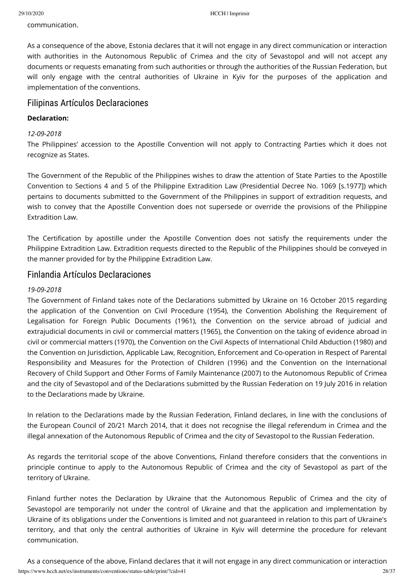communication.

As a consequence of the above, Estonia declares that it will not engage in any direct communication or interaction with authorities in the Autonomous Republic of Crimea and the city of Sevastopol and will not accept any documents or requests emanating from such authorities or through the authorities of the Russian Federation, but will only engage with the central authorities of Ukraine in Kyiv for the purposes of the application and implementation of the conventions.

## Filipinas Artículos Declaraciones

### **Declaration:**

#### *12-09-2018*

The Philippines' accession to the Apostille Convention will not apply to Contracting Parties which it does not recognize as States.

The Government of the Republic of the Philippines wishes to draw the attention of State Parties to the Apostille Convention to Sections 4 and 5 of the Philippine Extradition Law (Presidential Decree No. 1069 [s.1977]) which pertains to documents submitted to the Government of the Philippines in support of extradition requests, and wish to convey that the Apostille Convention does not supersede or override the provisions of the Philippine Extradition Law.

The Certification by apostille under the Apostille Convention does not satisfy the requirements under the Philippine Extradition Law. Extradition requests directed to the Republic of the Philippines should be conveyed in the manner provided for by the Philippine Extradition Law.

## Finlandia Artículos Declaraciones

#### *19-09-2018*

The Government of Finland takes note of the Declarations submitted by Ukraine on 16 October 2015 regarding the application of the Convention on Civil Procedure (1954), the Convention Abolishing the Requirement of Legalisation for Foreign Public Documents (1961), the Convention on the service abroad of judicial and extrajudicial documents in civil or commercial matters (1965), the Convention on the taking of evidence abroad in civil or commercial matters (1970), the Convention on the Civil Aspects of International Child Abduction (1980) and the Convention on Jurisdiction, Applicable Law, Recognition, Enforcement and Co-operation in Respect of Parental Responsibility and Measures for the Protection of Children (1996) and the Convention on the International Recovery of Child Support and Other Forms of Family Maintenance (2007) to the Autonomous Republic of Crimea and the city of Sevastopol and of the Declarations submitted by the Russian Federation on 19 July 2016 in relation to the Declarations made by Ukraine.

In relation to the Declarations made by the Russian Federation, Finland declares, in line with the conclusions of the European Council of 20/21 March 2014, that it does not recognise the illegal referendum in Crimea and the illegal annexation of the Autonomous Republic of Crimea and the city of Sevastopol to the Russian Federation.

As regards the territorial scope of the above Conventions, Finland therefore considers that the conventions in principle continue to apply to the Autonomous Republic of Crimea and the city of Sevastopol as part of the territory of Ukraine.

Finland further notes the Declaration by Ukraine that the Autonomous Republic of Crimea and the city of Sevastopol are temporarily not under the control of Ukraine and that the application and implementation by Ukraine of its obligations under the Conventions is limited and not guaranteed in relation to this part of Ukraine's territory, and that only the central authorities of Ukraine in Kyiv will determine the procedure for relevant communication.

https://www.hcch.net/es/instruments/conventions/status-table/print/?cid=41 28/37 As a consequence of the above, Finland declares that it will not engage in any direct communication or interaction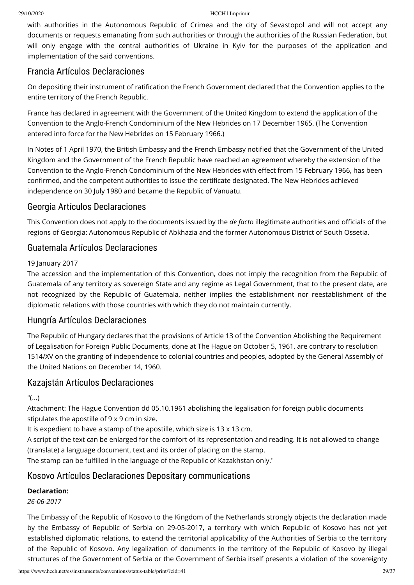with authorities in the Autonomous Republic of Crimea and the city of Sevastopol and will not accept any documents or requests emanating from such authorities or through the authorities of the Russian Federation, but will only engage with the central authorities of Ukraine in Kyiv for the purposes of the application and implementation of the said conventions.

# Francia Artículos Declaraciones

On depositing their instrument of ratication the French Government declared that the Convention applies to the entire territory of the French Republic.

France has declared in agreement with the Government of the United Kingdom to extend the application of the Convention to the Anglo-French Condominium of the New Hebrides on 17 December 1965. (The Convention entered into force for the New Hebrides on 15 February 1966.)

In Notes of 1 April 1970, the British Embassy and the French Embassy notified that the Government of the United Kingdom and the Government of the French Republic have reached an agreement whereby the extension of the Convention to the Anglo-French Condominium of the New Hebrides with effect from 15 February 1966, has been confirmed, and the competent authorities to issue the certificate designated. The New Hebrides achieved independence on 30 July 1980 and became the Republic of Vanuatu.

# Georgia Artículos Declaraciones

This Convention does not apply to the documents issued by the *de facto* illegitimate authorities and officials of the regions of Georgia: Autonomous Republic of Abkhazia and the former Autonomous District of South Ossetia.

# Guatemala Artículos Declaraciones

## 19 January 2017

The accession and the implementation of this Convention, does not imply the recognition from the Republic of Guatemala of any territory as sovereign State and any regime as Legal Government, that to the present date, are not recognized by the Republic of Guatemala, neither implies the establishment nor reestablishment of the diplomatic relations with those countries with which they do not maintain currently.

# Hungría Artículos Declaraciones

The Republic of Hungary declares that the provisions of Article 13 of the Convention Abolishing the Requirement of Legalisation for Foreign Public Documents, done at The Hague on October 5, 1961, are contrary to resolution 1514/XV on the granting of independence to colonial countries and peoples, adopted by the General Assembly of the United Nations on December 14, 1960.

# Kazajstán Artículos Declaraciones

"(...)

Attachment: The Hague Convention dd 05.10.1961 abolishing the legalisation for foreign public documents stipulates the apostille of 9 x 9 cm in size.

It is expedient to have a stamp of the apostille, which size is 13 x 13 cm.

A script of the text can be enlarged for the comfort of its representation and reading. It is not allowed to change (translate) a language document, text and its order of placing on the stamp.

The stamp can be fulfilled in the language of the Republic of Kazakhstan only."

# Kosovo Artículos Declaraciones Depositary communications

## **Declaration:**

*26-06-2017*

The Embassy of the Republic of Kosovo to the Kingdom of the Netherlands strongly objects the declaration made by the Embassy of Republic of Serbia on 29-05-2017, a territory with which Republic of Kosovo has not yet established diplomatic relations, to extend the territorial applicability of the Authorities of Serbia to the territory of the Republic of Kosovo. Any legalization of documents in the territory of the Republic of Kosovo by illegal structures of the Government of Serbia or the Government of Serbia itself presents a violation of the sovereignty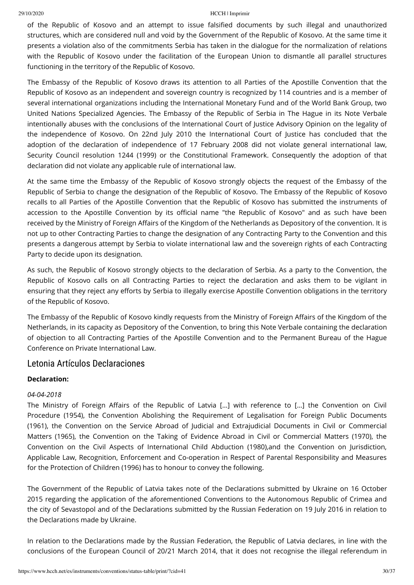of the Republic of Kosovo and an attempt to issue falsified documents by such illegal and unauthorized structures, which are considered null and void by the Government of the Republic of Kosovo. At the same time it presents a violation also of the commitments Serbia has taken in the dialogue for the normalization of relations with the Republic of Kosovo under the facilitation of the European Union to dismantle all parallel structures functioning in the territory of the Republic of Kosovo.

The Embassy of the Republic of Kosovo draws its attention to all Parties of the Apostille Convention that the Republic of Kosovo as an independent and sovereign country is recognized by 114 countries and is a member of several international organizations including the International Monetary Fund and of the World Bank Group, two United Nations Specialized Agencies. The Embassy of the Republic of Serbia in The Hague in its Note Verbale intentionally abuses with the conclusions of the International Court of Justice Advisory Opinion on the legality of the independence of Kosovo. On 22nd July 2010 the International Court of Justice has concluded that the adoption of the declaration of independence of 17 February 2008 did not violate general international law, Security Council resolution 1244 (1999) or the Constitutional Framework. Consequently the adoption of that declaration did not violate any applicable rule of international law.

At the same time the Embassy of the Republic of Kosovo strongly objects the request of the Embassy of the Republic of Serbia to change the designation of the Republic of Kosovo. The Embassy of the Republic of Kosovo recalls to all Parties of the Apostille Convention that the Republic of Kosovo has submitted the instruments of accession to the Apostille Convention by its official name "the Republic of Kosovo" and as such have been received by the Ministry of Foreign Affairs of the Kingdom of the Netherlands as Depository of the convention. It is not up to other Contracting Parties to change the designation of any Contracting Party to the Convention and this presents a dangerous attempt by Serbia to violate international law and the sovereign rights of each Contracting Party to decide upon its designation.

As such, the Republic of Kosovo strongly objects to the declaration of Serbia. As a party to the Convention, the Republic of Kosovo calls on all Contracting Parties to reject the declaration and asks them to be vigilant in ensuring that they reject any efforts by Serbia to illegally exercise Apostille Convention obligations in the territory of the Republic of Kosovo.

The Embassy of the Republic of Kosovo kindly requests from the Ministry of Foreign Affairs of the Kingdom of the Netherlands, in its capacity as Depository of the Convention, to bring this Note Verbale containing the declaration of objection to all Contracting Parties of the Apostille Convention and to the Permanent Bureau of the Hague Conference on Private International Law.

## Letonia Artículos Declaraciones

## **Declaration:**

## *04-04-2018*

The Ministry of Foreign Affairs of the Republic of Latvia [...] with reference to [...] the Convention on Civil Procedure (1954), the Convention Abolishing the Requirement of Legalisation for Foreign Public Documents (1961), the Convention on the Service Abroad of Judicial and Extrajudicial Documents in Civil or Commercial Matters (1965), the Convention on the Taking of Evidence Abroad in Civil or Commercial Matters (1970), the Convention on the Civil Aspects of International Child Abduction (1980),and the Convention on Jurisdiction, Applicable Law, Recognition, Enforcement and Co-operation in Respect of Parental Responsibility and Measures for the Protection of Children (1996) has to honour to convey the following.

The Government of the Republic of Latvia takes note of the Declarations submitted by Ukraine on 16 October 2015 regarding the application of the aforementioned Conventions to the Autonomous Republic of Crimea and the city of Sevastopol and of the Declarations submitted by the Russian Federation on 19 July 2016 in relation to the Declarations made by Ukraine.

In relation to the Declarations made by the Russian Federation, the Republic of Latvia declares, in line with the conclusions of the European Council of 20/21 March 2014, that it does not recognise the illegal referendum in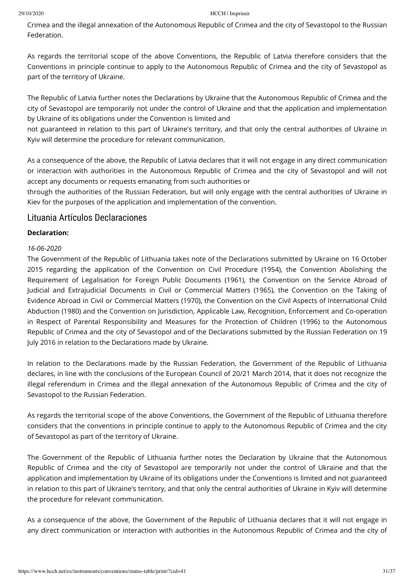Crimea and the illegal annexation of the Autonomous Republic of Crimea and the city of Sevastopol to the Russian **Federation** 

As regards the territorial scope of the above Conventions, the Republic of Latvia therefore considers that the Conventions in principle continue to apply to the Autonomous Republic of Crimea and the city of Sevastopol as part of the territory of Ukraine.

The Republic of Latvia further notes the Declarations by Ukraine that the Autonomous Republic of Crimea and the city of Sevastopol are temporarily not under the control of Ukraine and that the application and implementation by Ukraine of its obligations under the Convention is limited and

not guaranteed in relation to this part of Ukraine's territory, and that only the central authorities of Ukraine in Kyiv will determine the procedure for relevant communication.

As a consequence of the above, the Republic of Latvia declares that it will not engage in any direct communication or interaction with authorities in the Autonomous Republic of Crimea and the city of Sevastopol and will not accept any documents or requests emanating from such authorities or

through the authorities of the Russian Federation, but will only engage with the central authorities of Ukraine in Kiev for the purposes of the application and implementation of the convention.

## Lituania Artículos Declaraciones

## **Declaration:**

## *16-06-2020*

The Government of the Republic of Lithuania takes note of the Declarations submitted by Ukraine on 16 October 2015 regarding the application of the Convention on Civil Procedure (1954), the Convention Abolishing the Requirement of Legalisation for Foreign Public Documents (1961), the Convention on the Service Abroad of Judicial and Extrajudicial Documents in Civil or Commercial Matters (1965), the Convention on the Taking of Evidence Abroad in Civil or Commercial Matters (1970), the Convention on the Civil Aspects of International Child Abduction (1980) and the Convention on Jurisdiction, Applicable Law, Recognition, Enforcement and Co-operation in Respect of Parental Responsibility and Measures for the Protection of Children (1996) to the Autonomous Republic of Crimea and the city of Sevastopol and of the Declarations submitted by the Russian Federation on 19 July 2016 in relation to the Declarations made by Ukraine.

In relation to the Declarations made by the Russian Federation, the Government of the Republic of Lithuania declares, in line with the conclusions of the European Council of 20/21 March 2014, that it does not recognize the illegal referendum in Crimea and the illegal annexation of the Autonomous Republic of Crimea and the city of Sevastopol to the Russian Federation.

As regards the territorial scope of the above Conventions, the Government of the Republic of Lithuania therefore considers that the conventions in principle continue to apply to the Autonomous Republic of Crimea and the city of Sevastopol as part of the territory of Ukraine.

The Government of the Republic of Lithuania further notes the Declaration by Ukraine that the Autonomous Republic of Crimea and the city of Sevastopol are temporarily not under the control of Ukraine and that the application and implementation by Ukraine of its obligations under the Conventions is limited and not guaranteed in relation to this part of Ukraine's territory, and that only the central authorities of Ukraine in Kyiv will determine the procedure for relevant communication.

As a consequence of the above, the Government of the Republic of Lithuania declares that it will not engage in any direct communication or interaction with authorities in the Autonomous Republic of Crimea and the city of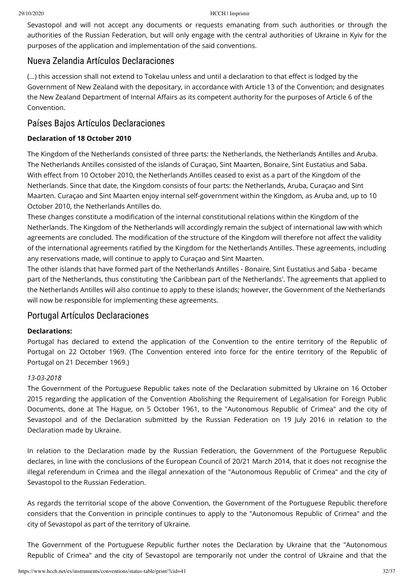Sevastopol and will not accept any documents or requests emanating from such authorities or through the authorities of the Russian Federation, but will only engage with the central authorities of Ukraine in Kyiv for the purposes of the application and implementation of the said conventions.

# Nueva Zelandia Artículos Declaraciones

(...) this accession shall not extend to Tokelau unless and until a declaration to that effect is lodged by the Government of New Zealand with the depositary, in accordance with Article 13 of the Convention; and designates the New Zealand Department of Internal Affairs as its competent authority for the purposes of Article 6 of the Convention.

# Países Bajos Artículos Declaraciones

## **Declaration of 18 October 2010**

The Kingdom of the Netherlands consisted of three parts: the Netherlands, the Netherlands Antilles and Aruba. The Netherlands Antilles consisted of the islands of Curaçao, Sint Maarten, Bonaire, Sint Eustatius and Saba. With effect from 10 October 2010, the Netherlands Antilles ceased to exist as a part of the Kingdom of the Netherlands. Since that date, the Kingdom consists of four parts: the Netherlands, Aruba, Curaçao and Sint Maarten. Curaçao and Sint Maarten enjoy internal self-government within the Kingdom, as Aruba and, up to 10 October 2010, the Netherlands Antilles do.

These changes constitute a modification of the internal constitutional relations within the Kingdom of the Netherlands. The Kingdom of the Netherlands will accordingly remain the subject of international law with which agreements are concluded. The modification of the structure of the Kingdom will therefore not affect the validity of the international agreements ratified by the Kingdom for the Netherlands Antilles. These agreements, including any reservations made, will continue to apply to Curaçao and Sint Maarten.

The other islands that have formed part of the Netherlands Antilles - Bonaire, Sint Eustatius and Saba - became part of the Netherlands, thus constituting 'the Caribbean part of the Netherlands'. The agreements that applied to the Netherlands Antilles will also continue to apply to these islands; however, the Government of the Netherlands will now be responsible for implementing these agreements.

# Portugal Artículos Declaraciones

## **Declarations:**

Portugal has declared to extend the application of the Convention to the entire territory of the Republic of Portugal on 22 October 1969. (The Convention entered into force for the entire territory of the Republic of Portugal on 21 December 1969.)

## *13-03-2018*

The Government of the Portuguese Republic takes note of the Declaration submitted by Ukraine on 16 October 2015 regarding the application of the Convention Abolishing the Requirement of Legalisation for Foreign Public Documents, done at The Hague, on 5 October 1961, to the "Autonomous Republic of Crimea" and the city of Sevastopol and of the Declaration submitted by the Russian Federation on 19 July 2016 in relation to the Declaration made by Ukraine.

In relation to the Declaration made by the Russian Federation, the Government of the Portuguese Republic declares, in line with the conclusions of the European Council of 20/21 March 2014, that it does not recognise the illegal referendum in Crimea and the illegal annexation of the "Autonomous Republic of Crimea" and the city of Sevastopol to the Russian Federation.

As regards the territorial scope of the above Convention, the Government of the Portuguese Republic therefore considers that the Convention in principle continues to apply to the "Autonomous Republic of Crimea" and the city of Sevastopol as part of the territory of Ukraine.

The Government of the Portuguese Republic further notes the Declaration by Ukraine that the "Autonomous Republic of Crimea" and the city of Sevastopol are temporarily not under the control of Ukraine and that the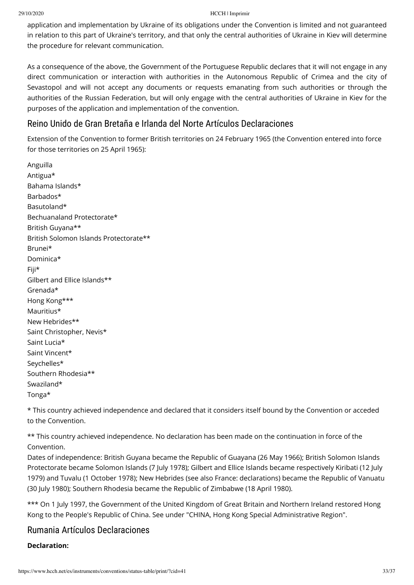application and implementation by Ukraine of its obligations under the Convention is limited and not guaranteed in relation to this part of Ukraine's territory, and that only the central authorities of Ukraine in Kiev will determine the procedure for relevant communication.

As a consequence of the above, the Government of the Portuguese Republic declares that it will not engage in any direct communication or interaction with authorities in the Autonomous Republic of Crimea and the city of Sevastopol and will not accept any documents or requests emanating from such authorities or through the authorities of the Russian Federation, but will only engage with the central authorities of Ukraine in Kiev for the purposes of the application and implementation of the convention.

# Reino Unido de Gran Bretaña e Irlanda del Norte Artículos Declaraciones

Extension of the Convention to former British territories on 24 February 1965 (the Convention entered into force for those territories on 25 April 1965):

Anguilla Antigua\* Bahama Islands\* Barbados\* Basutoland\* Bechuanaland Protectorate\* British Guyana\*\* British Solomon Islands Protectorate\*\* Brunei\* Dominica\* Fiji\* Gilbert and Ellice Islands\*\* Grenada\* Hong Kong\*\*\* Mauritius\* New Hebrides\*\* Saint Christopher, Nevis\* Saint Lucia\* Saint Vincent\* Seychelles\* Southern Rhodesia\*\* Swaziland\* Tonga\*

\* This country achieved independence and declared that it considers itself bound by the Convention or acceded to the Convention.

\*\* This country achieved independence. No declaration has been made on the continuation in force of the Convention.

Dates of independence: British Guyana became the Republic of Guayana (26 May 1966); British Solomon Islands Protectorate became Solomon Islands (7 July 1978); Gilbert and Ellice Islands became respectively Kiribati (12 July 1979) and Tuvalu (1 October 1978); New Hebrides (see also [France: declarations\)](https://www.hcch.net/index_en.php?act=status.comment&csid=321&disp=resdn) became the Republic of Vanuatu (30 July 1980); Southern Rhodesia became the Republic of Zimbabwe (18 April 1980).

\*\*\* On 1 July 1997, the Government of the United Kingdom of Great Britain and Northern Ireland restored Hong Kong to the People's Republic of China. See under "CHINA, Hong Kong Special Administrative Region".

# Rumania Artículos Declaraciones

#### **Declaration:**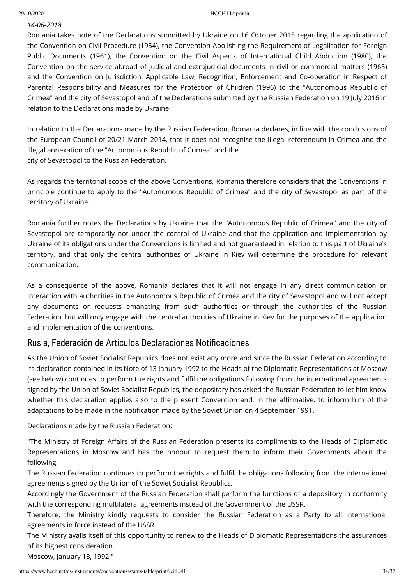## *14-06-2018*

Romania takes note of the Declarations submitted by Ukraine on 16 October 2015 regarding the application of the Convention on Civil Procedure (1954), the Convention Abolishing the Requirement of Legalisation for Foreign Public Documents (1961), the Convention on the Civil Aspects of International Child Abduction (1980), the Convention on the service abroad of judicial and extrajudicial documents in civil or commercial matters (1965) and the Convention on Jurisdiction, Applicable Law, Recognition, Enforcement and Co-operation in Respect of Parental Responsibility and Measures for the Protection of Children (1996) to the "Autonomous Republic of Crimea" and the city of Sevastopol and of the Declarations submitted by the Russian Federation on 19 July 2016 in relation to the Declarations made by Ukraine.

In relation to the Declarations made by the Russian Federation, Romania declares, in line with the conclusions of the European Council of 20/21 March 2014, that it does not recognise the illegal referendum in Crimea and the illegal annexation of the "Autonomous Republic of Crimea" and the city of Sevastopol to the Russian Federation.

As regards the territorial scope of the above Conventions, Romania therefore considers that the Conventions in principle continue to apply to the "Autonomous Republic of Crimea" and the city of Sevastopol as part of the territory of Ukraine.

Romania further notes the Declarations by Ukraine that the "Autonomous Republic of Crimea" and the city of Sevastopol are temporarily not under the control of Ukraine and that the application and implementation by Ukraine of its obligations under the Conventions is limited and not guaranteed in relation to this part of Ukraine's territory, and that only the central authorities of Ukraine in Kiev will determine the procedure for relevant communication.

As a consequence of the above, Romania declares that it will not engage in any direct communication or interaction with authorities in the Autonomous Republic of Crimea and the city of Sevastopol and will not accept any documents or requests emanating from such authorities or through the authorities of the Russian Federation, but will only engage with the central authorities of Ukraine in Kiev for the purposes of the application and implementation of the conventions.

# Rusia, Federación de Artículos Declaraciones Notificaciones

As the Union of Soviet Socialist Republics does not exist any more and since the Russian Federation according to its declaration contained in its Note of 13 January 1992 to the Heads of the Diplomatic Representations at Moscow (see below) continues to perform the rights and fulfil the obligations following from the international agreements signed by the Union of Soviet Socialist Republics, the depositary has asked the Russian Federation to let him know whether this declaration applies also to the present Convention and, in the affirmative, to inform him of the adaptations to be made in the notification made by the Soviet Union on 4 September 1991.

Declarations made by the Russian Federation:

"The Ministry of Foreign Affairs of the Russian Federation presents its compliments to the Heads of Diplomatic Representations in Moscow and has the honour to request them to inform their Governments about the following.

The Russian Federation continues to perform the rights and fulfil the obligations following from the international agreements signed by the Union of the Soviet Socialist Republics.

Accordingly the Government of the Russian Federation shall perform the functions of a depository in conformity with the corresponding multilateral agreements instead of the Government of the USSR.

Therefore, the Ministry kindly requests to consider the Russian Federation as a Party to all international agreements in force instead of the USSR.

The Ministry avails itself of this opportunity to renew to the Heads of Diplomatic Representations the assurances of its highest consideration.

Moscow, January 13, 1992."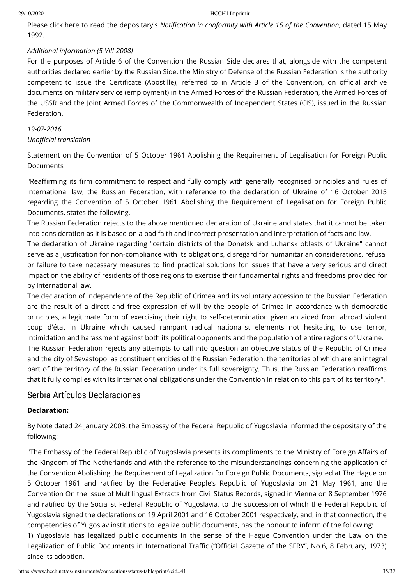Please [click here](https://assets.hcch.net/upload/mfa_not12ru.pdf) to read the depositary's *Notification in conformity with Article 15 of the Convention*, dated 15 May 1992.

### *Additional information (5-VIII-2008)*

For the purposes of Article 6 of the Convention the Russian Side declares that, alongside with the competent authorities declared earlier by the Russian Side, the Ministry of Defense of the Russian Federation is the authority competent to issue the Certificate (Apostille), referred to in Article 3 of the Convention, on official archive documents on military service (employment) in the Armed Forces of the Russian Federation, the Armed Forces of the USSR and the Joint Armed Forces of the Commonwealth of Independent States (CIS), issued in the Russian Federation.

## *19-07-2016*

### **Unofficial translation**

Statement on the Convention of 5 October 1961 Abolishing the Requirement of Legalisation for Foreign Public Documents

"Reaffirming its firm commitment to respect and fully comply with generally recognised principles and rules of international law, the Russian Federation, with reference to the declaration of Ukraine of 16 October 2015 regarding the Convention of 5 October 1961 Abolishing the Requirement of Legalisation for Foreign Public Documents, states the following.

The Russian Federation rejects to the above mentioned declaration of Ukraine and states that it cannot be taken into consideration as it is based on a bad faith and incorrect presentation and interpretation of facts and law.

The declaration of Ukraine regarding "certain districts of the Donetsk and Luhansk oblasts of Ukraine" cannot serve as a justification for non-compliance with its obligations, disregard for humanitarian considerations, refusal or failure to take necessary measures to find practical solutions for issues that have a very serious and direct impact on the ability of residents of those regions to exercise their fundamental rights and freedoms provided for by international law.

The declaration of independence of the Republic of Crimea and its voluntary accession to the Russian Federation are the result of a direct and free expression of will by the people of Crimea in accordance with democratic principles, a legitimate form of exercising their right to self-determination given an aided from abroad violent coup d'état in Ukraine which caused rampant radical nationalist elements not hesitating to use terror, intimidation and harassment against both its political opponents and the population of entire regions of Ukraine. The Russian Federation rejects any attempts to call into question an objective status of the Republic of Crimea

and the city of Sevastopol as constituent entities of the Russian Federation, the territories of which are an integral part of the territory of the Russian Federation under its full sovereignty. Thus, the Russian Federation reaffirms that it fully complies with its international obligations under the Convention in relation to this part of its territory".

# Serbia Artículos Declaraciones

## **Declaration:**

By Note dated 24 January 2003, the Embassy of the Federal Republic of Yugoslavia informed the depositary of the following:

"The Embassy of the Federal Republic of Yugoslavia presents its compliments to the Ministry of Foreign Affairs of the Kingdom of The Netherlands and with the reference to the misunderstandings concerning the application of the Convention Abolishing the Requirement of Legalization for Foreign Public Documents, signed at The Hague on 5 October 1961 and ratified by the Federative People's Republic of Yugoslavia on 21 May 1961, and the Convention On the Issue of Multilingual Extracts from Civil Status Records, signed in Vienna on 8 September 1976 and ratified by the Socialist Federal Republic of Yugoslavia, to the succession of which the Federal Republic of Yugoslavia signed the declarations on 19 April 2001 and 16 October 2001 respectively, and, in that connection, the competencies of Yugoslav institutions to legalize public documents, has the honour to inform of the following: 1) Yugoslavia has legalized public documents in the sense of the Hague Convention under the Law on the Legalization of Public Documents in International Traffic ("Official Gazette of the SFRY", No.6, 8 February, 1973) since its adoption.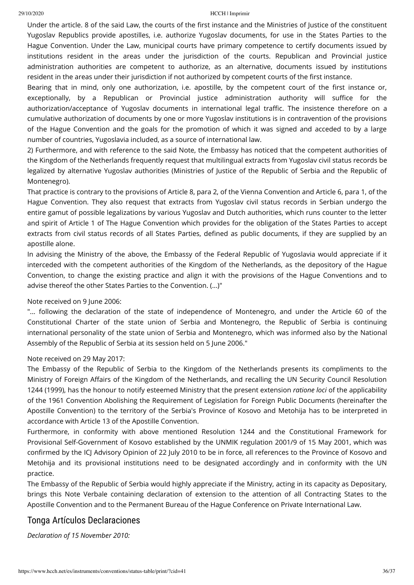Under the article. 8 of the said Law, the courts of the first instance and the Ministries of Justice of the constituent Yugoslav Republics provide apostilles, i.e. authorize Yugoslav documents, for use in the States Parties to the Hague Convention. Under the Law, municipal courts have primary competence to certify documents issued by institutions resident in the areas under the jurisdiction of the courts. Republican and Provincial justice administration authorities are competent to authorize, as an alternative, documents issued by institutions resident in the areas under their jurisdiction if not authorized by competent courts of the first instance.

Bearing that in mind, only one authorization, i.e. apostille, by the competent court of the first instance or, exceptionally, by a Republican or Provincial justice administration authority will suffice for the authorization/acceptance of Yugoslav documents in international legal traffic. The insistence therefore on a cumulative authorization of documents by one or more Yugoslav institutions is in contravention of the provisions of the Hague Convention and the goals for the promotion of which it was signed and acceded to by a large number of countries, Yugoslavia included, as a source of international law.

2) Furthermore, and with reference to the said Note, the Embassy has noticed that the competent authorities of the Kingdom of the Netherlands frequently request that multilingual extracts from Yugoslav civil status records be legalized by alternative Yugoslav authorities (Ministries of Justice of the Republic of Serbia and the Republic of Montenegro).

That practice is contrary to the provisions of Article 8, para 2, of the Vienna Convention and Article 6, para 1, of the Hague Convention. They also request that extracts from Yugoslav civil status records in Serbian undergo the entire gamut of possible legalizations by various Yugoslav and Dutch authorities, which runs counter to the letter and spirit of Article 1 of The Hague Convention which provides for the obligation of the States Parties to accept extracts from civil status records of all States Parties, defined as public documents, if they are supplied by an apostille alone.

In advising the Ministry of the above, the Embassy of the Federal Republic of Yugoslavia would appreciate if it interceded with the competent authorities of the Kingdom of the Netherlands, as the depository of the Hague Convention, to change the existing practice and align it with the provisions of the Hague Conventions and to advise thereof the other States Parties to the Convention. (...)"

Note received on 9 June 2006:

"... following the declaration of the state of independence of Montenegro, and under the Article 60 of the Constitutional Charter of the state union of Serbia and Montenegro, the Republic of Serbia is continuing international personality of the state union of Serbia and Montenegro, which was informed also by the National Assembly of the Republic of Serbia at its session held on 5 June 2006."

#### Note received on 29 May 2017:

The Embassy of the Republic of Serbia to the Kingdom of the Netherlands presents its compliments to the Ministry of Foreign Affairs of the Kingdom of the Netherlands, and recalling the UN Security Council Resolution 1244 (1999), has the honour to notify esteemed Ministry that the present extension *ratione loci* of the applicability of the 1961 Convention Abolishing the Requirement of Legislation for Foreign Public Documents (hereinafter the Apostille Convention) to the territory of the Serbia's Province of Kosovo and Metohija has to be interpreted in accordance with Article 13 of the Apostille Convention.

Furthermore, in conformity with above mentioned Resolution 1244 and the Constitutional Framework for Provisional Self-Government of Kosovo established by the UNMIK regulation 2001/9 of 15 May 2001, which was confirmed by the ICJ Advisory Opinion of 22 July 2010 to be in force, all references to the Province of Kosovo and Metohija and its provisional institutions need to be designated accordingly and in conformity with the UN practice.

The Embassy of the Republic of Serbia would highly appreciate if the Ministry, acting in its capacity as Depositary, brings this Note Verbale containing declaration of extension to the attention of all Contracting States to the Apostille Convention and to the Permanent Bureau of the Hague Conference on Private International Law.

# Tonga Artículos Declaraciones

*Declaration of 15 November 2010:*